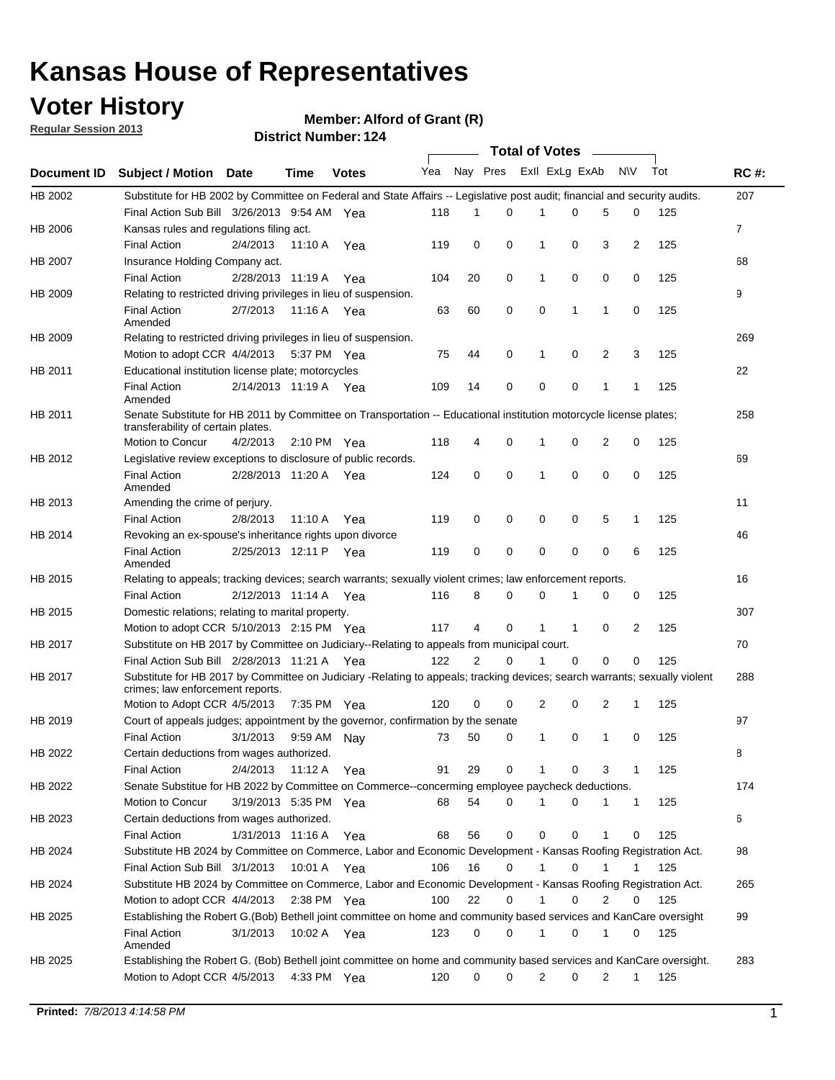## **Voter History**

**Member: Alford of Grant (R)** 

**Regular Session 2013**

|             |                                                                                                                                                                |                       |         |                       |     |                | <b>Total of Votes</b> |                |          | $\sim$       |              |     |             |
|-------------|----------------------------------------------------------------------------------------------------------------------------------------------------------------|-----------------------|---------|-----------------------|-----|----------------|-----------------------|----------------|----------|--------------|--------------|-----|-------------|
| Document ID | Subject / Motion Date                                                                                                                                          |                       | Time    | <b>Votes</b>          | Yea | Nay Pres       |                       | Exll ExLg ExAb |          |              | <b>NV</b>    | Tot | <b>RC#:</b> |
| HB 2002     | Substitute for HB 2002 by Committee on Federal and State Affairs -- Legislative post audit; financial and security audits.                                     |                       |         |                       |     |                |                       |                |          |              |              |     | 207         |
|             | Final Action Sub Bill 3/26/2013 9:54 AM Yea                                                                                                                    |                       |         |                       | 118 | 1              | 0                     | 1              | 0        | 5            | 0            | 125 |             |
| HB 2006     | Kansas rules and regulations filing act.                                                                                                                       |                       |         |                       |     |                |                       |                |          |              |              |     | 7           |
|             | <b>Final Action</b>                                                                                                                                            | 2/4/2013              | 11:10 A | Yea                   | 119 | 0              | 0                     | 1              | 0        | 3            | 2            | 125 |             |
| HB 2007     | Insurance Holding Company act.                                                                                                                                 |                       |         |                       |     |                |                       |                |          |              |              |     | 68          |
|             | <b>Final Action</b>                                                                                                                                            | 2/28/2013 11:19 A     |         | Yea                   | 104 | 20             | 0                     | 1              | 0        | 0            | 0            | 125 |             |
| HB 2009     | Relating to restricted driving privileges in lieu of suspension.                                                                                               |                       |         |                       |     |                |                       |                |          |              |              |     | 9           |
|             | <b>Final Action</b><br>Amended                                                                                                                                 | 2/7/2013              | 11:16 A | Yea                   | 63  | 60             | 0                     | 0              | 1        | $\mathbf{1}$ | 0            | 125 |             |
| HB 2009     | Relating to restricted driving privileges in lieu of suspension.                                                                                               |                       |         |                       |     |                |                       |                |          |              |              |     | 269         |
|             | Motion to adopt CCR 4/4/2013                                                                                                                                   |                       |         | 5:37 PM Yea           | 75  | 44             | 0                     | 1              | 0        | 2            | 3            | 125 |             |
| HB 2011     | Educational institution license plate; motorcycles                                                                                                             |                       |         |                       |     |                |                       |                |          |              |              |     | 22          |
|             | <b>Final Action</b><br>Amended                                                                                                                                 | 2/14/2013 11:19 A Yea |         |                       | 109 | 14             | 0                     | 0              | 0        | 1            | $\mathbf{1}$ | 125 |             |
| HB 2011     | Senate Substitute for HB 2011 by Committee on Transportation -- Educational institution motorcycle license plates;<br>transferability of certain plates.       |                       |         |                       |     |                |                       |                |          |              |              |     | 258         |
|             | Motion to Concur                                                                                                                                               | 4/2/2013              |         | $2:10 \text{ PM}$ Yea | 118 | 4              | 0                     |                | 0        | 2            | 0            | 125 |             |
| HB 2012     | Legislative review exceptions to disclosure of public records.                                                                                                 |                       |         |                       |     |                |                       |                |          |              |              |     | 69          |
|             | <b>Final Action</b><br>Amended                                                                                                                                 | 2/28/2013 11:20 A     |         | Yea                   | 124 | 0              | $\mathbf 0$           | 1              | 0        | 0            | 0            | 125 |             |
| HB 2013     | Amending the crime of perjury.                                                                                                                                 |                       |         |                       |     |                |                       |                |          |              |              |     | 11          |
|             | <b>Final Action</b>                                                                                                                                            | 2/8/2013              | 11:10 A | Yea                   | 119 | 0              | 0                     | 0              | 0        | 5            | 1            | 125 |             |
| HB 2014     | Revoking an ex-spouse's inheritance rights upon divorce                                                                                                        |                       |         |                       |     |                |                       |                |          |              |              |     | 46          |
|             | <b>Final Action</b><br>Amended                                                                                                                                 | 2/25/2013 12:11 P     |         | Yea                   | 119 | 0              | 0                     | 0              | 0        | 0            | 6            | 125 |             |
| HB 2015     | Relating to appeals; tracking devices; search warrants; sexually violent crimes; law enforcement reports.                                                      |                       |         |                       |     |                |                       |                |          |              |              |     | 16          |
|             | <b>Final Action</b>                                                                                                                                            | 2/12/2013 11:14 A Yea |         |                       | 116 | 8              | 0                     | 0              | 1        | 0            | 0            | 125 |             |
| HB 2015     | Domestic relations; relating to marital property.                                                                                                              |                       |         |                       |     |                |                       |                |          |              |              |     | 307         |
|             | Motion to adopt CCR 5/10/2013 2:15 PM Yea                                                                                                                      |                       |         |                       | 117 | 4              | 0                     |                | 1        | 0            | 2            | 125 |             |
| HB 2017     | Substitute on HB 2017 by Committee on Judiciary--Relating to appeals from municipal court.                                                                     |                       |         |                       |     |                |                       |                |          |              |              |     | 70          |
|             | Final Action Sub Bill 2/28/2013 11:21 A Yea                                                                                                                    |                       |         |                       | 122 | $\overline{2}$ | $\Omega$              |                | $\Omega$ | 0            | 0            | 125 |             |
| HB 2017     | Substitute for HB 2017 by Committee on Judiciary -Relating to appeals; tracking devices; search warrants; sexually violent<br>crimes; law enforcement reports. |                       |         |                       |     |                |                       |                |          |              |              |     | 288         |
|             | Motion to Adopt CCR 4/5/2013                                                                                                                                   |                       |         | 7:35 PM Yea           | 120 | 0              | 0                     | 2              | 0        | 2            | 1            | 125 |             |
| HB 2019     | Court of appeals judges; appointment by the governor, confirmation by the senate                                                                               |                       |         |                       |     |                |                       |                |          |              |              |     | 97          |
|             | <b>Final Action</b>                                                                                                                                            | 3/1/2013              | 9:59 AM | Nav                   | 73  | 50             | 0                     | 1              | 0        | 1            | 0            | 125 |             |
| HB 2022     | Certain deductions from wages authorized.                                                                                                                      |                       |         |                       |     |                |                       |                |          |              |              |     | В           |
|             | <b>Final Action</b>                                                                                                                                            | 2/4/2013              |         | 11:12 A Yea           | 91  | 29             | 0                     |                | 0        | 3            | 1            | 125 |             |
| HB 2022     | Senate Substitue for HB 2022 by Committee on Commerce--concerming employee paycheck deductions.                                                                |                       |         |                       |     |                |                       |                |          |              |              |     | 174         |
|             | Motion to Concur                                                                                                                                               | 3/19/2013 5:35 PM Yea |         |                       | 68  | 54             | 0                     |                | 0        | 1            | $\mathbf{1}$ | 125 |             |
| HB 2023     | Certain deductions from wages authorized.                                                                                                                      |                       |         |                       |     |                |                       |                |          |              |              |     | 6           |
|             | <b>Final Action</b>                                                                                                                                            | 1/31/2013 11:16 A Yea |         |                       | 68  | 56             | 0                     | 0              | 0        | 1            | 0            | 125 |             |
| HB 2024     | Substitute HB 2024 by Committee on Commerce, Labor and Economic Development - Kansas Roofing Registration Act.                                                 |                       |         |                       |     |                |                       |                |          |              |              |     | 98          |
|             | Final Action Sub Bill 3/1/2013                                                                                                                                 |                       |         | 10:01 A Yea           | 106 | 16             | 0                     |                | 0        | 1            |              | 125 |             |
| HB 2024     | Substitute HB 2024 by Committee on Commerce, Labor and Economic Development - Kansas Roofing Registration Act.                                                 |                       |         |                       |     |                |                       |                |          |              |              |     | 265         |
|             | Motion to adopt CCR 4/4/2013                                                                                                                                   |                       |         | 2:38 PM Yea           | 100 | 22             | 0                     |                | 0        | 2            | 0            | 125 |             |
| HB 2025     | Establishing the Robert G.(Bob) Bethell joint committee on home and community based services and KanCare oversight                                             |                       |         |                       |     |                |                       |                |          |              |              |     | 99          |
|             | <b>Final Action</b><br>Amended                                                                                                                                 | 3/1/2013              |         | 10:02 A Yea           | 123 | 0              | 0                     |                | 0        | 1            | 0            | 125 |             |
| HB 2025     | Establishing the Robert G. (Bob) Bethell joint committee on home and community based services and KanCare oversight.<br>Motion to Adopt CCR 4/5/2013           |                       |         | 4:33 PM Yea           | 120 | 0              | 0                     | 2              | 0        | 2            | 1            | 125 | 283         |
|             |                                                                                                                                                                |                       |         |                       |     |                |                       |                |          |              |              |     |             |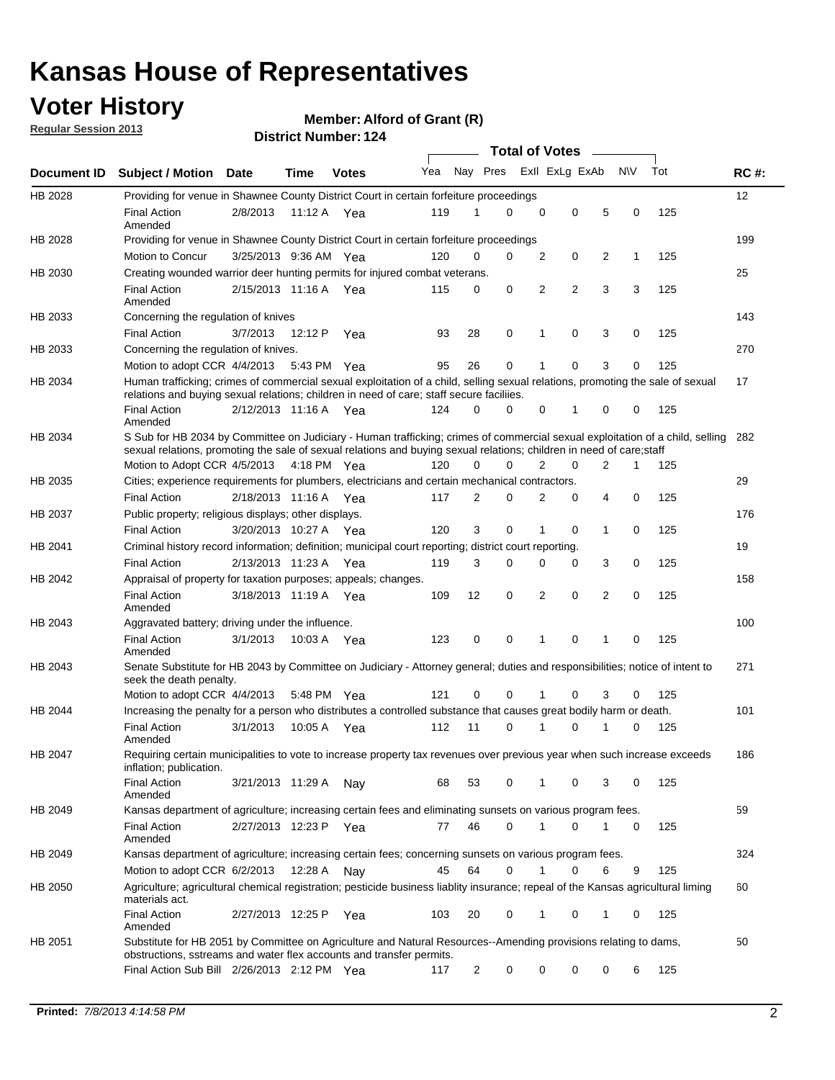## **Voter History**

**Member: Alford of Grant (R)** 

**Regular Session 2013**

|                |                                                                                                                                                                                                                                                        |                       |             |              |     |                         | <b>Total of Votes</b> |   |   |                |           |     |             |
|----------------|--------------------------------------------------------------------------------------------------------------------------------------------------------------------------------------------------------------------------------------------------------|-----------------------|-------------|--------------|-----|-------------------------|-----------------------|---|---|----------------|-----------|-----|-------------|
| Document ID    | <b>Subject / Motion</b>                                                                                                                                                                                                                                | Date                  | Time        | <b>Votes</b> | Yea | Nay Pres Exll ExLg ExAb |                       |   |   |                | <b>NV</b> | Tot | <b>RC#:</b> |
| HB 2028        | Providing for venue in Shawnee County District Court in certain forfeiture proceedings                                                                                                                                                                 |                       |             |              |     |                         |                       |   |   |                |           |     | 12          |
|                | <b>Final Action</b><br>Amended                                                                                                                                                                                                                         | 2/8/2013              | 11:12 A Yea |              | 119 | 1                       | $\Omega$              | 0 | 0 | 5              | 0         | 125 |             |
| HB 2028        | Providing for venue in Shawnee County District Court in certain forfeiture proceedings<br>Motion to Concur                                                                                                                                             |                       |             |              |     | 0                       | 0                     | 2 | 0 | 2              | 1         | 125 | 199         |
| HB 2030        |                                                                                                                                                                                                                                                        | 3/25/2013 9:36 AM Yea |             |              | 120 |                         |                       |   |   |                |           |     | 25          |
|                | Creating wounded warrior deer hunting permits for injured combat veterans.<br><b>Final Action</b>                                                                                                                                                      | 2/15/2013 11:16 A     |             | Yea          | 115 | 0                       | 0                     | 2 | 2 | 3              | 3         | 125 |             |
|                | Amended                                                                                                                                                                                                                                                |                       |             |              |     |                         |                       |   |   |                |           |     |             |
| HB 2033        | Concerning the regulation of knives<br><b>Final Action</b>                                                                                                                                                                                             |                       |             |              |     |                         | 0                     | 1 | 0 |                | 0         |     | 143         |
|                |                                                                                                                                                                                                                                                        | 3/7/2013              | 12:12 P     | Yea          | 93  | 28                      |                       |   |   | 3              |           | 125 |             |
| HB 2033        | Concerning the regulation of knives.                                                                                                                                                                                                                   |                       |             |              |     |                         |                       |   |   |                |           |     | 270         |
|                | Motion to adopt CCR 4/4/2013                                                                                                                                                                                                                           |                       | 5:43 PM Yea |              | 95  | 26                      | 0                     |   | 0 | 3              | 0         | 125 |             |
| HB 2034        | Human trafficking; crimes of commercial sexual exploitation of a child, selling sexual relations, promoting the sale of sexual<br>relations and buying sexual relations; children in need of care; staff secure faciliies.                             |                       |             |              |     |                         |                       |   |   |                |           |     | 17          |
|                | <b>Final Action</b><br>Amended                                                                                                                                                                                                                         | 2/12/2013 11:16 A Yea |             |              | 124 | 0                       | 0                     | 0 | 1 | 0              | 0         | 125 |             |
| HB 2034        | S Sub for HB 2034 by Committee on Judiciary - Human trafficking; crimes of commercial sexual exploitation of a child, selling<br>sexual relations, promoting the sale of sexual relations and buying sexual relations; children in need of care; staff |                       |             |              |     |                         |                       |   |   |                |           |     | 282         |
|                | Motion to Adopt CCR 4/5/2013 4:18 PM Yea                                                                                                                                                                                                               |                       |             |              | 120 | 0                       | 0                     | 2 | 0 | $\overline{2}$ | 1         | 125 |             |
| HB 2035        | Cities; experience requirements for plumbers, electricians and certain mechanical contractors.<br><b>Final Action</b>                                                                                                                                  | 2/18/2013 11:16 A     |             | Yea          | 117 | 2                       | 0                     | 2 | 0 | 4              | 0         | 125 | 29          |
|                | Public property; religious displays; other displays.                                                                                                                                                                                                   |                       |             |              |     |                         |                       |   |   |                |           |     | 176         |
| HB 2037        | <b>Final Action</b>                                                                                                                                                                                                                                    | 3/20/2013 10:27 A Yea |             |              | 120 | 3                       | 0                     | 1 | 0 | 1              | 0         | 125 |             |
| HB 2041        | Criminal history record information; definition; municipal court reporting; district court reporting.                                                                                                                                                  |                       |             |              |     |                         |                       |   |   |                |           |     | 19          |
|                | <b>Final Action</b>                                                                                                                                                                                                                                    | 2/13/2013 11:23 A     |             | Yea          | 119 | 3                       | 0                     | 0 | 0 | 3              | 0         | 125 |             |
| HB 2042        | Appraisal of property for taxation purposes; appeals; changes.                                                                                                                                                                                         |                       |             |              |     |                         |                       |   |   |                |           |     | 158         |
|                | <b>Final Action</b><br>Amended                                                                                                                                                                                                                         | 3/18/2013 11:19 A     |             | Yea          | 109 | 12                      | 0                     | 2 | 0 | 2              | 0         | 125 |             |
| HB 2043        | Aggravated battery; driving under the influence.                                                                                                                                                                                                       |                       |             |              |     |                         |                       |   |   |                |           |     | 100         |
|                | <b>Final Action</b><br>Amended                                                                                                                                                                                                                         | 3/1/2013              | 10:03 A Yea |              | 123 | 0                       | 0                     | 1 | 0 | 1              | 0         | 125 |             |
| HB 2043        | Senate Substitute for HB 2043 by Committee on Judiciary - Attorney general; duties and responsibilities; notice of intent to<br>seek the death penalty.                                                                                                |                       |             |              |     |                         |                       |   |   |                |           |     | 271         |
|                | Motion to adopt CCR 4/4/2013                                                                                                                                                                                                                           |                       | 5:48 PM Yea |              | 121 | 0                       | 0                     |   | 0 | 3              | 0         | 125 |             |
| <b>HB 2044</b> | Increasing the penalty for a person who distributes a controlled substance that causes great bodily harm or death.                                                                                                                                     |                       |             |              |     |                         |                       |   |   |                |           |     | 101         |
|                | <b>Final Action</b><br>Amended                                                                                                                                                                                                                         | 3/1/2013              | 10:05 A     | Yea          | 112 | 11                      | $\Omega$              | 1 | 0 | 1              | 0         | 125 |             |
| HB 2047        | Requiring certain municipalities to vote to increase property tax revenues over previous year when such increase exceeds<br>inflation; publication.                                                                                                    |                       |             |              |     |                         |                       |   |   |                |           |     | 186         |
|                | <b>Final Action</b><br>Amended                                                                                                                                                                                                                         | 3/21/2013 11:29 A     |             | Nay          | 68  | 53                      | 0                     | 1 | 0 | 3              | 0         | 125 |             |
| HB 2049        | Kansas department of agriculture; increasing certain fees and eliminating sunsets on various program fees.                                                                                                                                             |                       |             |              |     |                         |                       |   |   |                |           |     | 59          |
|                | <b>Final Action</b><br>Amended                                                                                                                                                                                                                         | 2/27/2013 12:23 P     |             | Yea          | 77  | 46                      | 0                     |   | 0 | 1              | 0         | 125 |             |
| HB 2049        | Kansas department of agriculture; increasing certain fees; concerning sunsets on various program fees.                                                                                                                                                 |                       |             |              |     |                         |                       |   |   |                |           |     | 324         |
|                | Motion to adopt CCR 6/2/2013                                                                                                                                                                                                                           |                       | 12:28 A     | Nay          | 45  | 64                      | 0                     | 1 | 0 | 6              | 9         | 125 |             |
| HB 2050        | Agriculture; agricultural chemical registration; pesticide business liablity insurance; repeal of the Kansas agricultural liming<br>materials act.                                                                                                     |                       |             |              |     |                         |                       |   |   |                |           |     | 60          |
|                | <b>Final Action</b><br>Amended                                                                                                                                                                                                                         | 2/27/2013 12:25 P     |             | Yea          | 103 | 20                      | 0                     | 1 | 0 | 1              | 0         | 125 |             |
| HB 2051        | Substitute for HB 2051 by Committee on Agriculture and Natural Resources--Amending provisions relating to dams,<br>obstructions, sstreams and water flex accounts and transfer permits.                                                                |                       |             |              |     |                         |                       |   |   |                |           |     | 50          |
|                | Final Action Sub Bill 2/26/2013 2:12 PM Yea                                                                                                                                                                                                            |                       |             |              | 117 | 2                       | 0                     | 0 | 0 | 0              | 6         | 125 |             |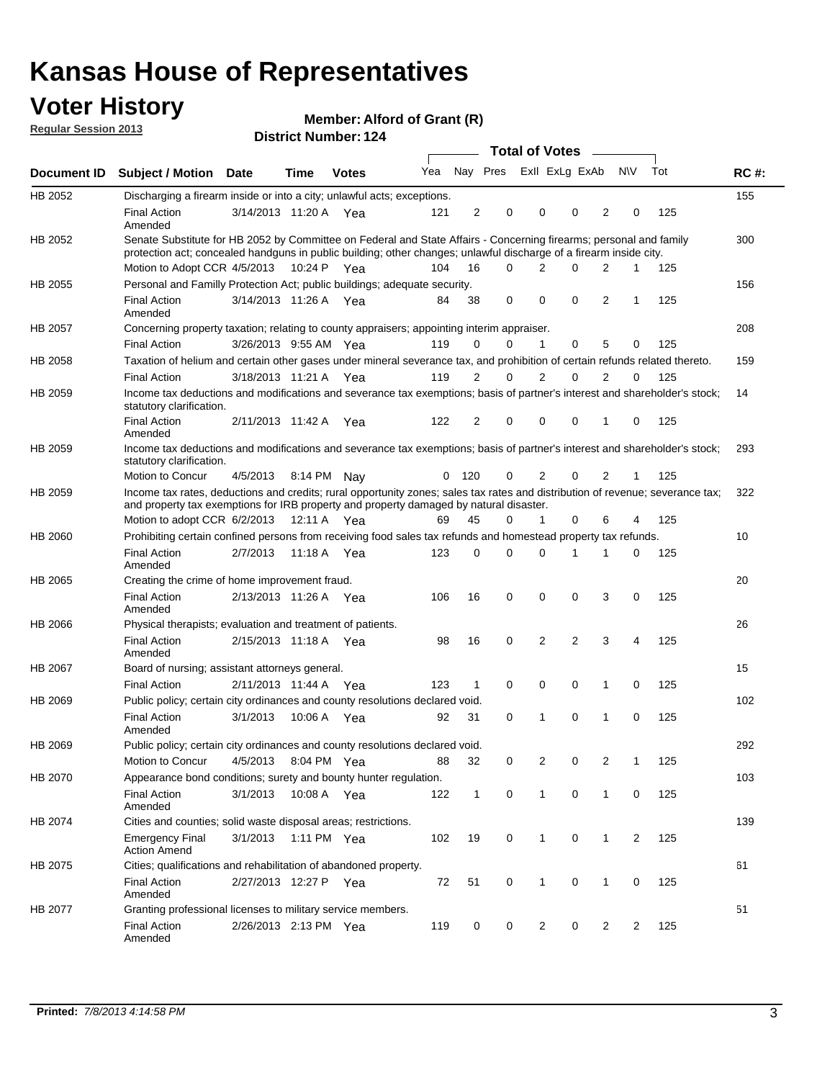## **Voter History**

**Member: Alford of Grant (R)** 

**Regular Session 2013**

|                |                                                                                                                                                                                                                                          |                       |             |              |     |              |                         | Total of Votes – |                |                |              |                |     |             |
|----------------|------------------------------------------------------------------------------------------------------------------------------------------------------------------------------------------------------------------------------------------|-----------------------|-------------|--------------|-----|--------------|-------------------------|------------------|----------------|----------------|--------------|----------------|-----|-------------|
| Document ID    | <b>Subject / Motion Date</b>                                                                                                                                                                                                             |                       | <b>Time</b> | <b>Votes</b> | Yea |              | Nay Pres Exll ExLg ExAb |                  |                |                |              | <b>NV</b>      | Tot | <b>RC#:</b> |
| HB 2052        | Discharging a firearm inside or into a city; unlawful acts; exceptions.                                                                                                                                                                  |                       |             |              |     |              |                         |                  |                |                |              |                |     | 155         |
|                | <b>Final Action</b><br>Amended                                                                                                                                                                                                           | 3/14/2013 11:20 A Yea |             |              | 121 | 2            | 0                       |                  | $\Omega$       | $\Omega$       | 2            | 0              | 125 |             |
| HB 2052        | Senate Substitute for HB 2052 by Committee on Federal and State Affairs - Concerning firearms; personal and family<br>protection act; concealed handguns in public building; other changes; unlawful discharge of a firearm inside city. |                       |             |              |     |              |                         |                  |                |                |              |                |     | 300         |
|                | Motion to Adopt CCR 4/5/2013                                                                                                                                                                                                             |                       |             | 10:24 P Yea  | 104 | 16           |                         | $\Omega$         | 2              | 0              | 2            | $\mathbf 1$    | 125 |             |
| HB 2055        | Personal and Familly Protection Act; public buildings; adequate security.                                                                                                                                                                |                       |             |              |     |              |                         |                  |                |                |              |                |     | 156         |
|                | <b>Final Action</b><br>Amended                                                                                                                                                                                                           | 3/14/2013 11:26 A     |             | Yea          | 84  | 38           | 0                       |                  | $\mathbf 0$    | 0              | 2            | 1              | 125 |             |
| <b>HB 2057</b> | Concerning property taxation; relating to county appraisers; appointing interim appraiser.                                                                                                                                               |                       |             |              |     |              |                         |                  |                |                |              |                |     | 208         |
|                | <b>Final Action</b>                                                                                                                                                                                                                      | 3/26/2013 9:55 AM Yea |             |              | 119 | 0            |                         | 0                | $\mathbf 1$    | 0              | 5            | 0              | 125 |             |
| HB 2058        | Taxation of helium and certain other gases under mineral severance tax, and prohibition of certain refunds related thereto.                                                                                                              |                       |             |              |     |              |                         |                  |                |                |              |                |     | 159         |
|                | <b>Final Action</b>                                                                                                                                                                                                                      | 3/18/2013 11:21 A Yea |             |              | 119 | 2            |                         | 0                | 2              | 0              | 2            | $\Omega$       | 125 |             |
| HB 2059        | Income tax deductions and modifications and severance tax exemptions; basis of partner's interest and shareholder's stock;<br>statutory clarification.                                                                                   |                       |             |              |     |              |                         |                  |                |                |              |                |     | 14          |
|                | <b>Final Action</b><br>Amended                                                                                                                                                                                                           | 2/11/2013 11:42 A     |             | Yea          | 122 | 2            | 0                       |                  | 0              | 0              | 1            | 0              | 125 |             |
| HB 2059        | Income tax deductions and modifications and severance tax exemptions; basis of partner's interest and shareholder's stock;<br>statutory clarification.                                                                                   |                       |             |              |     |              |                         |                  |                |                |              |                |     | 293         |
|                | Motion to Concur                                                                                                                                                                                                                         | 4/5/2013              | 8:14 PM     | Nav          | 0   | 120          | 0                       |                  | 2              | 0              | 2            | 1              | 125 |             |
| HB 2059        | Income tax rates, deductions and credits; rural opportunity zones; sales tax rates and distribution of revenue; severance tax;<br>and property tax exemptions for IRB property and property damaged by natural disaster.                 |                       |             |              |     |              |                         |                  |                |                |              |                |     | 322         |
|                | Motion to adopt CCR 6/2/2013                                                                                                                                                                                                             |                       | 12:11 A     | Yea          | 69  | 45           |                         | 0                | 1              | 0              | 6            | 4              | 125 |             |
| HB 2060        | Prohibiting certain confined persons from receiving food sales tax refunds and homestead property tax refunds.                                                                                                                           |                       |             |              |     |              |                         |                  |                |                |              |                |     | 10          |
|                | <b>Final Action</b><br>Amended                                                                                                                                                                                                           | 2/7/2013              | 11:18 A     | Yea          | 123 | 0            | 0                       |                  | $\Omega$       | 1              | 1            | 0              | 125 |             |
| HB 2065        | Creating the crime of home improvement fraud.                                                                                                                                                                                            |                       |             |              |     |              |                         |                  |                |                |              |                |     | 20          |
|                | <b>Final Action</b><br>Amended                                                                                                                                                                                                           | 2/13/2013 11:26 A Yea |             |              | 106 | 16           | 0                       |                  | $\mathbf 0$    | $\Omega$       | 3            | 0              | 125 |             |
| HB 2066        | Physical therapists; evaluation and treatment of patients.                                                                                                                                                                               |                       |             |              |     |              |                         |                  |                |                |              |                |     | 26          |
|                | <b>Final Action</b><br>Amended                                                                                                                                                                                                           | 2/15/2013 11:18 A Yea |             |              | 98  | 16           | 0                       |                  | 2              | $\overline{2}$ | 3            | 4              | 125 |             |
| HB 2067        | Board of nursing; assistant attorneys general.                                                                                                                                                                                           |                       |             |              |     |              |                         |                  |                |                |              |                |     | 15          |
|                | <b>Final Action</b>                                                                                                                                                                                                                      | 2/11/2013 11:44 A Yea |             |              | 123 | 1            | $\mathbf 0$             |                  | 0              | 0              | 1            | 0              | 125 |             |
| HB 2069        | Public policy; certain city ordinances and county resolutions declared void.                                                                                                                                                             |                       |             |              |     |              |                         |                  |                |                |              |                |     | 102         |
|                | <b>Final Action</b><br>Amended                                                                                                                                                                                                           | 3/1/2013              | 10:06 A     | Yea          | 92  | 31           | 0                       |                  | 1              | 0              | 1            | 0              | 125 |             |
| HB 2069        | Public policy; certain city ordinances and county resolutions declared void.                                                                                                                                                             |                       |             |              |     |              |                         |                  |                |                |              |                |     | 292         |
|                | Motion to Concur                                                                                                                                                                                                                         | 4/5/2013              |             | 8:04 PM Yea  | 88  | 32           |                         | 0                | 2              | 0              | 2            | 1              | 125 |             |
| HB 2070        | Appearance bond conditions; surety and bounty hunter regulation.                                                                                                                                                                         |                       |             |              |     |              |                         |                  |                |                |              |                |     | 103         |
|                | <b>Final Action</b><br>Amended                                                                                                                                                                                                           | 3/1/2013              |             | 10:08 A Yea  | 122 | $\mathbf{1}$ | 0                       |                  | $\mathbf{1}$   | $\mathbf 0$    | $\mathbf{1}$ | 0              | 125 |             |
| HB 2074        | Cities and counties; solid waste disposal areas; restrictions.                                                                                                                                                                           |                       |             |              |     |              |                         |                  |                |                |              |                |     | 139         |
|                | <b>Emergency Final</b><br><b>Action Amend</b>                                                                                                                                                                                            | 3/1/2013              |             | 1:11 PM Yea  | 102 | 19           | 0                       |                  | $\mathbf{1}$   | 0              | 1            | $\overline{2}$ | 125 |             |
| HB 2075        | Cities; qualifications and rehabilitation of abandoned property.                                                                                                                                                                         |                       |             |              |     |              |                         |                  |                |                |              |                |     | 61          |
|                | <b>Final Action</b><br>Amended                                                                                                                                                                                                           | 2/27/2013 12:27 P     |             | Yea          | 72  | 51           | 0                       |                  | 1              | 0              | 1            | 0              | 125 |             |
| HB 2077        | Granting professional licenses to military service members.<br><b>Final Action</b><br>Amended                                                                                                                                            | 2/26/2013 2:13 PM Yea |             |              | 119 | 0            |                         | 0                | $\overline{2}$ | 0              | 2            | 2              | 125 | 51          |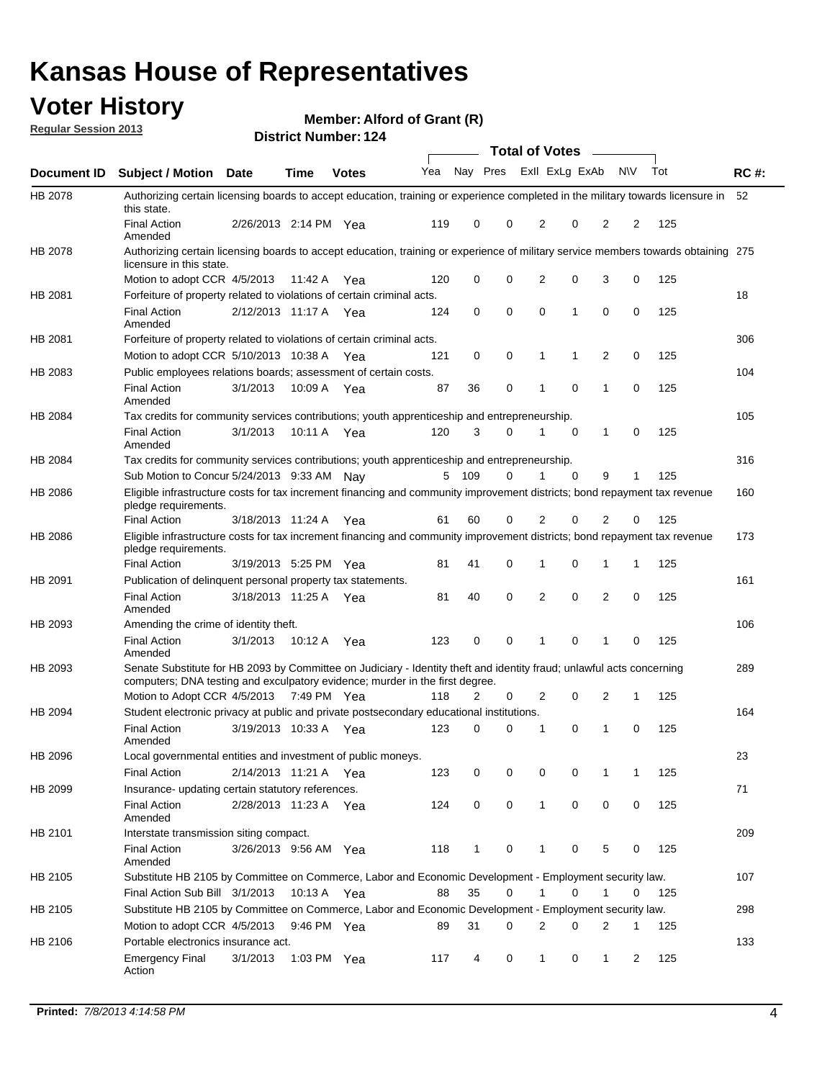## **Voter History**

**Member: Alford of Grant (R)** 

**Regular Session 2013**

|             |                                                                                                                                                                                                       |                       |             | דו הסטוווטנו ועווווט <i>י</i> |     |              |             | <b>Total of Votes</b> |             | $\sim$         |           |     |             |
|-------------|-------------------------------------------------------------------------------------------------------------------------------------------------------------------------------------------------------|-----------------------|-------------|-------------------------------|-----|--------------|-------------|-----------------------|-------------|----------------|-----------|-----|-------------|
| Document ID | <b>Subject / Motion Date</b>                                                                                                                                                                          |                       | <b>Time</b> | <b>Votes</b>                  | Yea | Nay Pres     |             | Exll ExLg ExAb        |             |                | <b>NV</b> | Tot | <b>RC#:</b> |
| HB 2078     | Authorizing certain licensing boards to accept education, training or experience completed in the military towards licensure in<br>this state.                                                        |                       |             |                               |     |              |             |                       |             |                |           |     | 52          |
|             | <b>Final Action</b><br>Amended                                                                                                                                                                        | 2/26/2013 2:14 PM Yea |             |                               | 119 | 0            | 0           | 2                     | 0           | $\overline{2}$ | 2         | 125 |             |
| HB 2078     | Authorizing certain licensing boards to accept education, training or experience of military service members towards obtaining 275<br>licensure in this state.                                        |                       |             |                               |     |              |             |                       |             |                |           |     |             |
|             | Motion to adopt CCR 4/5/2013                                                                                                                                                                          |                       | 11:42 A     | Yea                           | 120 | 0            | $\mathbf 0$ | $\overline{2}$        | 0           | 3              | 0         | 125 |             |
| HB 2081     | Forfeiture of property related to violations of certain criminal acts.                                                                                                                                |                       |             |                               |     |              |             |                       |             |                |           |     | 18          |
|             | <b>Final Action</b><br>Amended                                                                                                                                                                        | 2/12/2013 11:17 A Yea |             |                               | 124 | 0            | 0           | $\Omega$              | 1           | 0              | 0         | 125 |             |
| HB 2081     | Forfeiture of property related to violations of certain criminal acts.                                                                                                                                |                       |             |                               |     |              |             |                       |             |                |           |     | 306         |
|             | Motion to adopt CCR 5/10/2013 10:38 A                                                                                                                                                                 |                       |             | Yea                           | 121 | 0            | 0           | 1                     | 1           | 2              | 0         | 125 |             |
| HB 2083     | Public employees relations boards; assessment of certain costs.                                                                                                                                       |                       |             |                               |     |              |             |                       |             |                |           |     | 104         |
|             | <b>Final Action</b><br>Amended                                                                                                                                                                        | 3/1/2013              | 10:09 A     | Yea                           | 87  | 36           | 0           | 1                     | 0           | 1              | 0         | 125 |             |
| HB 2084     | Tax credits for community services contributions; youth apprenticeship and entrepreneurship.                                                                                                          |                       |             |                               |     |              |             |                       |             |                |           |     | 105         |
|             | <b>Final Action</b><br>Amended                                                                                                                                                                        | 3/1/2013              | 10:11 A     | Yea                           | 120 | 3            | 0           |                       | $\mathbf 0$ | $\mathbf{1}$   | 0         | 125 |             |
| HB 2084     | Tax credits for community services contributions; youth apprenticeship and entrepreneurship.                                                                                                          |                       |             |                               |     |              |             |                       |             |                |           |     | 316         |
|             | Sub Motion to Concur 5/24/2013 9:33 AM Nay                                                                                                                                                            |                       |             |                               | 5   | - 109        | 0           | 1                     | 0           | 9              | 1         | 125 |             |
| HB 2086     | Eligible infrastructure costs for tax increment financing and community improvement districts; bond repayment tax revenue<br>pledge requirements.                                                     |                       |             |                               |     |              |             |                       |             |                |           |     | 160         |
|             | <b>Final Action</b>                                                                                                                                                                                   | 3/18/2013 11:24 A     |             | Yea                           | 61  | 60           | 0           | 2                     | 0           | 2              | 0         | 125 |             |
| HB 2086     | Eligible infrastructure costs for tax increment financing and community improvement districts; bond repayment tax revenue<br>pledge requirements.                                                     |                       |             |                               |     |              |             |                       |             |                |           |     | 173         |
|             | <b>Final Action</b>                                                                                                                                                                                   | 3/19/2013 5:25 PM     |             | Yea                           | 81  | 41           | 0           | 1                     | 0           | 1              | 1         | 125 |             |
| HB 2091     | Publication of delinquent personal property tax statements.                                                                                                                                           |                       |             |                               |     |              |             |                       |             |                |           |     | 161         |
|             | <b>Final Action</b><br>Amended                                                                                                                                                                        | 3/18/2013 11:25 A     |             | Yea                           | 81  | 40           | 0           | 2                     | 0           | $\overline{2}$ | 0         | 125 |             |
| HB 2093     | Amending the crime of identity theft.                                                                                                                                                                 |                       |             |                               |     |              |             |                       |             |                |           |     | 106         |
|             | <b>Final Action</b><br>Amended                                                                                                                                                                        | 3/1/2013              | 10:12 A     | Yea                           | 123 | 0            | $\Omega$    | 1                     | 0           | 1              | 0         | 125 |             |
| HB 2093     | Senate Substitute for HB 2093 by Committee on Judiciary - Identity theft and identity fraud; unlawful acts concerning<br>computers; DNA testing and exculpatory evidence; murder in the first degree. |                       |             |                               |     |              |             |                       |             |                |           |     | 289         |
|             | Motion to Adopt CCR 4/5/2013 7:49 PM Yea                                                                                                                                                              |                       |             |                               | 118 | 2            | 0           | 2                     | 0           | 2              | 1         | 125 |             |
| HB 2094     | Student electronic privacy at public and private postsecondary educational institutions.                                                                                                              |                       |             |                               |     |              |             |                       |             |                |           |     | 164         |
|             | <b>Final Action</b><br>Amended                                                                                                                                                                        | 3/19/2013 10:33 A     |             | Yea                           | 123 | 0            | 0           | 1                     | 0           | 1              | 0         | 125 |             |
| HB 2096     | Local governmental entities and investment of public moneys.                                                                                                                                          |                       |             |                               |     |              |             |                       |             |                |           |     | 23          |
|             | <b>Final Action</b>                                                                                                                                                                                   | 2/14/2013 11:21 A     |             | Yea                           | 123 | 0            | 0           | 0                     | 0           | 1              | 1         | 125 |             |
| HB 2099     | Insurance- updating certain statutory references.                                                                                                                                                     |                       |             |                               |     |              |             |                       |             |                |           |     | 71          |
|             | <b>Final Action</b><br>Amended                                                                                                                                                                        | 2/28/2013 11:23 A     |             | Yea                           | 124 | 0            | 0           | 1                     | 0           | 0              | 0         | 125 |             |
| HB 2101     | Interstate transmission siting compact.                                                                                                                                                               |                       |             |                               |     |              |             |                       |             |                |           |     | 209         |
|             | Final Action<br>Amended                                                                                                                                                                               | 3/26/2013 9:56 AM Yea |             |                               | 118 | $\mathbf{1}$ | 0           | 1                     | 0           | 5              | 0         | 125 |             |
| HB 2105     | Substitute HB 2105 by Committee on Commerce, Labor and Economic Development - Employment security law.                                                                                                |                       |             |                               |     |              |             |                       |             |                |           |     | 107         |
|             | Final Action Sub Bill 3/1/2013                                                                                                                                                                        |                       | 10:13 A Yea |                               | 88  | 35           | 0           |                       | 0           | 1              | 0         | 125 |             |
| HB 2105     | Substitute HB 2105 by Committee on Commerce, Labor and Economic Development - Employment security law.                                                                                                |                       |             |                               |     |              |             |                       |             |                |           |     | 298         |
|             | Motion to adopt CCR 4/5/2013                                                                                                                                                                          |                       | 9:46 PM Yea |                               | 89  | 31           | 0           | 2                     | 0           | 2              | 1         | 125 |             |
| HB 2106     | Portable electronics insurance act.                                                                                                                                                                   |                       |             |                               |     |              |             |                       |             |                |           |     | 133         |
|             | <b>Emergency Final</b><br>Action                                                                                                                                                                      | 3/1/2013              | 1:03 PM Yea |                               | 117 | 4            | 0           | $\mathbf{1}$          | 0           | $\mathbf{1}$   | 2         | 125 |             |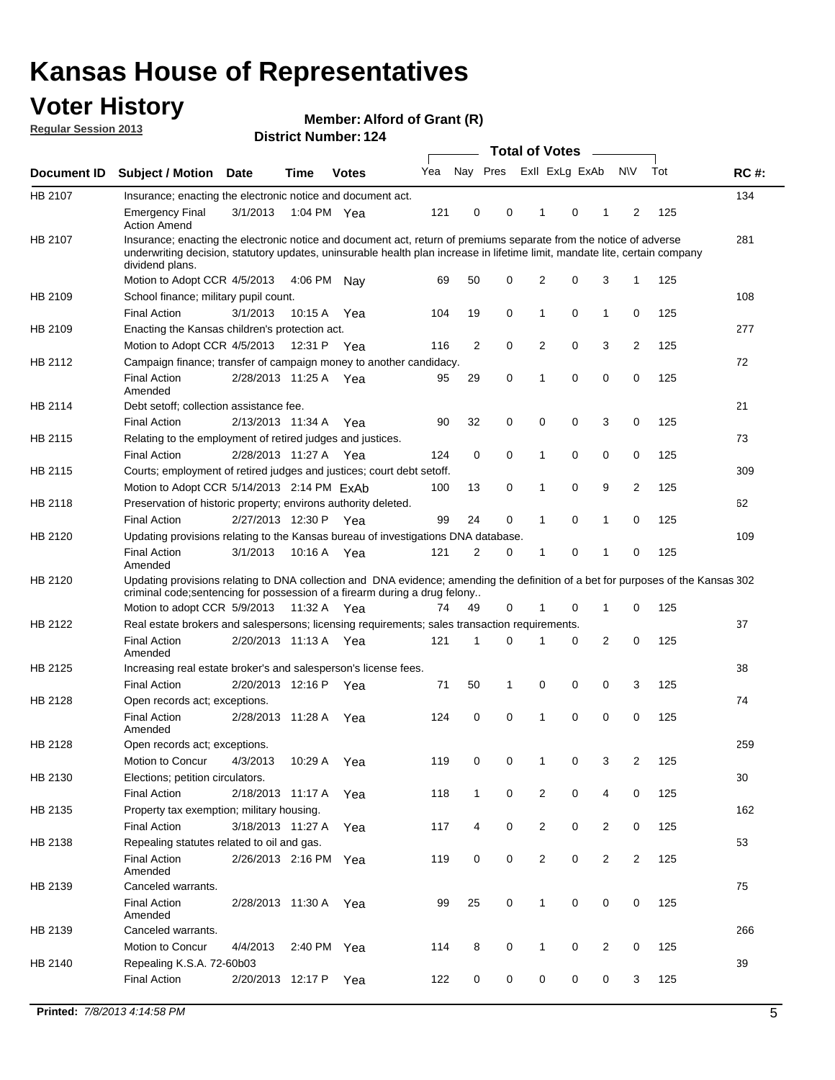## **Voter History**

**Member: Alford of Grant (R)** 

**Regular Session 2013**

| Nay Pres Exll ExLg ExAb<br><b>NV</b><br>Tot<br>Yea<br><b>RC#:</b><br><b>Subject / Motion</b><br><b>Time</b><br><b>Date</b><br><b>Votes</b><br>134<br>Insurance; enacting the electronic notice and document act.<br>3/1/2013<br>121<br>0<br>0<br>0<br>125<br><b>Emergency Final</b><br>1:04 PM Yea<br>1<br>1<br>2<br><b>Action Amend</b><br>281<br>Insurance; enacting the electronic notice and document act, return of premiums separate from the notice of adverse<br>underwriting decision, statutory updates, uninsurable health plan increase in lifetime limit, mandate lite, certain company<br>dividend plans.<br>2<br>3<br>Motion to Adopt CCR 4/5/2013<br>50<br>0<br>0<br>1<br>125<br>4:06 PM<br>69<br>Nav<br>108<br>School finance; military pupil count.<br>0<br><b>Final Action</b><br>19<br>0<br>$\mathbf{1}$<br>0<br>125<br>3/1/2013<br>10:15 A<br>Yea<br>104<br>1<br>Enacting the Kansas children's protection act.<br>277<br>Motion to Adopt CCR 4/5/2013<br>2<br>0<br>2<br>0<br>3<br>2<br>125<br>12:31 P Yea<br>116<br>Campaign finance; transfer of campaign money to another candidacy.<br>72<br>0<br>0<br>125<br>2/28/2013 11:25 A Yea<br>29<br>0<br>0<br><b>Final Action</b><br>95<br>1<br>Amended<br>21<br>Debt setoff; collection assistance fee.<br><b>Final Action</b><br>2/13/2013 11:34 A<br>32<br>0<br>0<br>3<br>0<br>125<br>90<br>0<br>Yea<br>Relating to the employment of retired judges and justices.<br>73<br>0<br>0<br>0<br><b>Final Action</b><br>0<br>0<br>125<br>2/28/2013 11:27 A<br>124<br>1<br>Yea<br>Courts; employment of retired judges and justices; court debt setoff.<br>309<br>$\overline{2}$<br>Motion to Adopt CCR 5/14/2013 2:14 PM ExAb<br>13<br>0<br>0<br>9<br>125<br>100<br>1<br>Preservation of historic property; environs authority deleted.<br>62<br>0<br>0<br>0<br><b>Final Action</b><br>2/27/2013 12:30 P<br>99<br>24<br>1<br>125<br>Yea<br>1<br>HB 2120<br>Updating provisions relating to the Kansas bureau of investigations DNA database.<br>109<br><b>Final Action</b><br>3/1/2013<br>10:16 A<br>121<br>2<br>0<br>0<br>0<br>125<br>1<br>Yea<br>1<br>Amended<br>Updating provisions relating to DNA collection and DNA evidence; amending the definition of a bet for purposes of the Kansas 302<br>criminal code; sentencing for possession of a firearm during a drug felony<br>Motion to adopt CCR 5/9/2013 11:32 A Yea<br>0<br>0<br>125<br>49<br>0<br>1<br>74<br>1<br>Real estate brokers and salespersons; licensing requirements; sales transaction requirements.<br>37<br>2/20/2013 11:13 A Yea<br>121<br>2<br>0<br>125<br><b>Final Action</b><br>1<br>0<br>0<br>Amended<br>Increasing real estate broker's and salesperson's license fees.<br>38<br><b>Final Action</b><br>2/20/2013 12:16 P<br>71<br>50<br>0<br>0<br>0<br>3<br>125<br>1<br>Yea<br>74<br>Open records act; exceptions.<br><b>Final Action</b><br>2/28/2013 11:28 A<br>124<br>0<br>0<br>0<br>0<br>0<br>125<br>1<br>Yea<br>Amended<br>259<br>Open records act; exceptions.<br>0<br>0<br>3<br>$\overline{2}$<br>125<br>Motion to Concur<br>4/3/2013<br>10:29 A<br>119<br>0<br>1<br>Yea<br>30<br>Elections; petition circulators.<br>0<br>2<br>0<br>0<br>125<br><b>Final Action</b><br>2/18/2013 11:17 A<br>118<br>$\mathbf{1}$<br>4<br>Yea<br>Property tax exemption; military housing.<br>162<br>0<br>$\overline{2}$<br>0<br><b>Final Action</b><br>3/18/2013 11:27 A<br>4<br>$\overline{2}$<br>0<br>125<br>Yea<br>117<br>53<br>Repealing statutes related to oil and gas.<br>0<br>0<br>$\overline{2}$<br>0<br>$\overline{2}$<br>125<br><b>Final Action</b><br>2/26/2013 2:16 PM Yea<br>119<br>$\overline{2}$<br>Amended<br>Canceled warrants.<br>75<br><b>Final Action</b><br>25<br>0<br>$\mathbf{1}$<br>0<br>0<br>0<br>125<br>2/28/2013 11:30 A<br>99<br>Yea<br>Amended<br>266<br>Canceled warrants.<br>Motion to Concur<br>4/4/2013<br>2:40 PM<br>114<br>8<br>0<br>0<br>2<br>0<br>125<br>1<br>Yea<br>39<br>Repealing K.S.A. 72-60b03<br><b>Final Action</b><br>2/20/2013 12:17 P<br>122<br>0<br>0<br>0<br>0<br>0<br>125<br>3<br>Yea |             |  |  |  | <b>Total of Votes</b> |  | $\frac{1}{2}$ |  |  |
|--------------------------------------------------------------------------------------------------------------------------------------------------------------------------------------------------------------------------------------------------------------------------------------------------------------------------------------------------------------------------------------------------------------------------------------------------------------------------------------------------------------------------------------------------------------------------------------------------------------------------------------------------------------------------------------------------------------------------------------------------------------------------------------------------------------------------------------------------------------------------------------------------------------------------------------------------------------------------------------------------------------------------------------------------------------------------------------------------------------------------------------------------------------------------------------------------------------------------------------------------------------------------------------------------------------------------------------------------------------------------------------------------------------------------------------------------------------------------------------------------------------------------------------------------------------------------------------------------------------------------------------------------------------------------------------------------------------------------------------------------------------------------------------------------------------------------------------------------------------------------------------------------------------------------------------------------------------------------------------------------------------------------------------------------------------------------------------------------------------------------------------------------------------------------------------------------------------------------------------------------------------------------------------------------------------------------------------------------------------------------------------------------------------------------------------------------------------------------------------------------------------------------------------------------------------------------------------------------------------------------------------------------------------------------------------------------------------------------------------------------------------------------------------------------------------------------------------------------------------------------------------------------------------------------------------------------------------------------------------------------------------------------------------------------------------------------------------------------------------------------------------------------------------------------------------------------------------------------------------------------------------------------------------------------------------------------------------------------------------------------------------------------------------------------------------------------------------------------------------------------------------------------------------------------------------------------------------------------------------------------------------------------------------------------------------------------------------------------------------------------------------------------------------------------------------------------------------------------------------------------------------------------------------------------------------------------------------------------------------------------------------------------------------------------------------------------------|-------------|--|--|--|-----------------------|--|---------------|--|--|
|                                                                                                                                                                                                                                                                                                                                                                                                                                                                                                                                                                                                                                                                                                                                                                                                                                                                                                                                                                                                                                                                                                                                                                                                                                                                                                                                                                                                                                                                                                                                                                                                                                                                                                                                                                                                                                                                                                                                                                                                                                                                                                                                                                                                                                                                                                                                                                                                                                                                                                                                                                                                                                                                                                                                                                                                                                                                                                                                                                                                                                                                                                                                                                                                                                                                                                                                                                                                                                                                                                                                                                                                                                                                                                                                                                                                                                                                                                                                                                                                                                                                                | Document ID |  |  |  |                       |  |               |  |  |
|                                                                                                                                                                                                                                                                                                                                                                                                                                                                                                                                                                                                                                                                                                                                                                                                                                                                                                                                                                                                                                                                                                                                                                                                                                                                                                                                                                                                                                                                                                                                                                                                                                                                                                                                                                                                                                                                                                                                                                                                                                                                                                                                                                                                                                                                                                                                                                                                                                                                                                                                                                                                                                                                                                                                                                                                                                                                                                                                                                                                                                                                                                                                                                                                                                                                                                                                                                                                                                                                                                                                                                                                                                                                                                                                                                                                                                                                                                                                                                                                                                                                                | HB 2107     |  |  |  |                       |  |               |  |  |
|                                                                                                                                                                                                                                                                                                                                                                                                                                                                                                                                                                                                                                                                                                                                                                                                                                                                                                                                                                                                                                                                                                                                                                                                                                                                                                                                                                                                                                                                                                                                                                                                                                                                                                                                                                                                                                                                                                                                                                                                                                                                                                                                                                                                                                                                                                                                                                                                                                                                                                                                                                                                                                                                                                                                                                                                                                                                                                                                                                                                                                                                                                                                                                                                                                                                                                                                                                                                                                                                                                                                                                                                                                                                                                                                                                                                                                                                                                                                                                                                                                                                                |             |  |  |  |                       |  |               |  |  |
|                                                                                                                                                                                                                                                                                                                                                                                                                                                                                                                                                                                                                                                                                                                                                                                                                                                                                                                                                                                                                                                                                                                                                                                                                                                                                                                                                                                                                                                                                                                                                                                                                                                                                                                                                                                                                                                                                                                                                                                                                                                                                                                                                                                                                                                                                                                                                                                                                                                                                                                                                                                                                                                                                                                                                                                                                                                                                                                                                                                                                                                                                                                                                                                                                                                                                                                                                                                                                                                                                                                                                                                                                                                                                                                                                                                                                                                                                                                                                                                                                                                                                | HB 2107     |  |  |  |                       |  |               |  |  |
|                                                                                                                                                                                                                                                                                                                                                                                                                                                                                                                                                                                                                                                                                                                                                                                                                                                                                                                                                                                                                                                                                                                                                                                                                                                                                                                                                                                                                                                                                                                                                                                                                                                                                                                                                                                                                                                                                                                                                                                                                                                                                                                                                                                                                                                                                                                                                                                                                                                                                                                                                                                                                                                                                                                                                                                                                                                                                                                                                                                                                                                                                                                                                                                                                                                                                                                                                                                                                                                                                                                                                                                                                                                                                                                                                                                                                                                                                                                                                                                                                                                                                |             |  |  |  |                       |  |               |  |  |
|                                                                                                                                                                                                                                                                                                                                                                                                                                                                                                                                                                                                                                                                                                                                                                                                                                                                                                                                                                                                                                                                                                                                                                                                                                                                                                                                                                                                                                                                                                                                                                                                                                                                                                                                                                                                                                                                                                                                                                                                                                                                                                                                                                                                                                                                                                                                                                                                                                                                                                                                                                                                                                                                                                                                                                                                                                                                                                                                                                                                                                                                                                                                                                                                                                                                                                                                                                                                                                                                                                                                                                                                                                                                                                                                                                                                                                                                                                                                                                                                                                                                                | HB 2109     |  |  |  |                       |  |               |  |  |
|                                                                                                                                                                                                                                                                                                                                                                                                                                                                                                                                                                                                                                                                                                                                                                                                                                                                                                                                                                                                                                                                                                                                                                                                                                                                                                                                                                                                                                                                                                                                                                                                                                                                                                                                                                                                                                                                                                                                                                                                                                                                                                                                                                                                                                                                                                                                                                                                                                                                                                                                                                                                                                                                                                                                                                                                                                                                                                                                                                                                                                                                                                                                                                                                                                                                                                                                                                                                                                                                                                                                                                                                                                                                                                                                                                                                                                                                                                                                                                                                                                                                                |             |  |  |  |                       |  |               |  |  |
|                                                                                                                                                                                                                                                                                                                                                                                                                                                                                                                                                                                                                                                                                                                                                                                                                                                                                                                                                                                                                                                                                                                                                                                                                                                                                                                                                                                                                                                                                                                                                                                                                                                                                                                                                                                                                                                                                                                                                                                                                                                                                                                                                                                                                                                                                                                                                                                                                                                                                                                                                                                                                                                                                                                                                                                                                                                                                                                                                                                                                                                                                                                                                                                                                                                                                                                                                                                                                                                                                                                                                                                                                                                                                                                                                                                                                                                                                                                                                                                                                                                                                | HB 2109     |  |  |  |                       |  |               |  |  |
|                                                                                                                                                                                                                                                                                                                                                                                                                                                                                                                                                                                                                                                                                                                                                                                                                                                                                                                                                                                                                                                                                                                                                                                                                                                                                                                                                                                                                                                                                                                                                                                                                                                                                                                                                                                                                                                                                                                                                                                                                                                                                                                                                                                                                                                                                                                                                                                                                                                                                                                                                                                                                                                                                                                                                                                                                                                                                                                                                                                                                                                                                                                                                                                                                                                                                                                                                                                                                                                                                                                                                                                                                                                                                                                                                                                                                                                                                                                                                                                                                                                                                |             |  |  |  |                       |  |               |  |  |
|                                                                                                                                                                                                                                                                                                                                                                                                                                                                                                                                                                                                                                                                                                                                                                                                                                                                                                                                                                                                                                                                                                                                                                                                                                                                                                                                                                                                                                                                                                                                                                                                                                                                                                                                                                                                                                                                                                                                                                                                                                                                                                                                                                                                                                                                                                                                                                                                                                                                                                                                                                                                                                                                                                                                                                                                                                                                                                                                                                                                                                                                                                                                                                                                                                                                                                                                                                                                                                                                                                                                                                                                                                                                                                                                                                                                                                                                                                                                                                                                                                                                                | HB 2112     |  |  |  |                       |  |               |  |  |
|                                                                                                                                                                                                                                                                                                                                                                                                                                                                                                                                                                                                                                                                                                                                                                                                                                                                                                                                                                                                                                                                                                                                                                                                                                                                                                                                                                                                                                                                                                                                                                                                                                                                                                                                                                                                                                                                                                                                                                                                                                                                                                                                                                                                                                                                                                                                                                                                                                                                                                                                                                                                                                                                                                                                                                                                                                                                                                                                                                                                                                                                                                                                                                                                                                                                                                                                                                                                                                                                                                                                                                                                                                                                                                                                                                                                                                                                                                                                                                                                                                                                                |             |  |  |  |                       |  |               |  |  |
|                                                                                                                                                                                                                                                                                                                                                                                                                                                                                                                                                                                                                                                                                                                                                                                                                                                                                                                                                                                                                                                                                                                                                                                                                                                                                                                                                                                                                                                                                                                                                                                                                                                                                                                                                                                                                                                                                                                                                                                                                                                                                                                                                                                                                                                                                                                                                                                                                                                                                                                                                                                                                                                                                                                                                                                                                                                                                                                                                                                                                                                                                                                                                                                                                                                                                                                                                                                                                                                                                                                                                                                                                                                                                                                                                                                                                                                                                                                                                                                                                                                                                | HB 2114     |  |  |  |                       |  |               |  |  |
|                                                                                                                                                                                                                                                                                                                                                                                                                                                                                                                                                                                                                                                                                                                                                                                                                                                                                                                                                                                                                                                                                                                                                                                                                                                                                                                                                                                                                                                                                                                                                                                                                                                                                                                                                                                                                                                                                                                                                                                                                                                                                                                                                                                                                                                                                                                                                                                                                                                                                                                                                                                                                                                                                                                                                                                                                                                                                                                                                                                                                                                                                                                                                                                                                                                                                                                                                                                                                                                                                                                                                                                                                                                                                                                                                                                                                                                                                                                                                                                                                                                                                |             |  |  |  |                       |  |               |  |  |
|                                                                                                                                                                                                                                                                                                                                                                                                                                                                                                                                                                                                                                                                                                                                                                                                                                                                                                                                                                                                                                                                                                                                                                                                                                                                                                                                                                                                                                                                                                                                                                                                                                                                                                                                                                                                                                                                                                                                                                                                                                                                                                                                                                                                                                                                                                                                                                                                                                                                                                                                                                                                                                                                                                                                                                                                                                                                                                                                                                                                                                                                                                                                                                                                                                                                                                                                                                                                                                                                                                                                                                                                                                                                                                                                                                                                                                                                                                                                                                                                                                                                                | HB 2115     |  |  |  |                       |  |               |  |  |
|                                                                                                                                                                                                                                                                                                                                                                                                                                                                                                                                                                                                                                                                                                                                                                                                                                                                                                                                                                                                                                                                                                                                                                                                                                                                                                                                                                                                                                                                                                                                                                                                                                                                                                                                                                                                                                                                                                                                                                                                                                                                                                                                                                                                                                                                                                                                                                                                                                                                                                                                                                                                                                                                                                                                                                                                                                                                                                                                                                                                                                                                                                                                                                                                                                                                                                                                                                                                                                                                                                                                                                                                                                                                                                                                                                                                                                                                                                                                                                                                                                                                                |             |  |  |  |                       |  |               |  |  |
|                                                                                                                                                                                                                                                                                                                                                                                                                                                                                                                                                                                                                                                                                                                                                                                                                                                                                                                                                                                                                                                                                                                                                                                                                                                                                                                                                                                                                                                                                                                                                                                                                                                                                                                                                                                                                                                                                                                                                                                                                                                                                                                                                                                                                                                                                                                                                                                                                                                                                                                                                                                                                                                                                                                                                                                                                                                                                                                                                                                                                                                                                                                                                                                                                                                                                                                                                                                                                                                                                                                                                                                                                                                                                                                                                                                                                                                                                                                                                                                                                                                                                | HB 2115     |  |  |  |                       |  |               |  |  |
|                                                                                                                                                                                                                                                                                                                                                                                                                                                                                                                                                                                                                                                                                                                                                                                                                                                                                                                                                                                                                                                                                                                                                                                                                                                                                                                                                                                                                                                                                                                                                                                                                                                                                                                                                                                                                                                                                                                                                                                                                                                                                                                                                                                                                                                                                                                                                                                                                                                                                                                                                                                                                                                                                                                                                                                                                                                                                                                                                                                                                                                                                                                                                                                                                                                                                                                                                                                                                                                                                                                                                                                                                                                                                                                                                                                                                                                                                                                                                                                                                                                                                |             |  |  |  |                       |  |               |  |  |
|                                                                                                                                                                                                                                                                                                                                                                                                                                                                                                                                                                                                                                                                                                                                                                                                                                                                                                                                                                                                                                                                                                                                                                                                                                                                                                                                                                                                                                                                                                                                                                                                                                                                                                                                                                                                                                                                                                                                                                                                                                                                                                                                                                                                                                                                                                                                                                                                                                                                                                                                                                                                                                                                                                                                                                                                                                                                                                                                                                                                                                                                                                                                                                                                                                                                                                                                                                                                                                                                                                                                                                                                                                                                                                                                                                                                                                                                                                                                                                                                                                                                                | HB 2118     |  |  |  |                       |  |               |  |  |
|                                                                                                                                                                                                                                                                                                                                                                                                                                                                                                                                                                                                                                                                                                                                                                                                                                                                                                                                                                                                                                                                                                                                                                                                                                                                                                                                                                                                                                                                                                                                                                                                                                                                                                                                                                                                                                                                                                                                                                                                                                                                                                                                                                                                                                                                                                                                                                                                                                                                                                                                                                                                                                                                                                                                                                                                                                                                                                                                                                                                                                                                                                                                                                                                                                                                                                                                                                                                                                                                                                                                                                                                                                                                                                                                                                                                                                                                                                                                                                                                                                                                                |             |  |  |  |                       |  |               |  |  |
|                                                                                                                                                                                                                                                                                                                                                                                                                                                                                                                                                                                                                                                                                                                                                                                                                                                                                                                                                                                                                                                                                                                                                                                                                                                                                                                                                                                                                                                                                                                                                                                                                                                                                                                                                                                                                                                                                                                                                                                                                                                                                                                                                                                                                                                                                                                                                                                                                                                                                                                                                                                                                                                                                                                                                                                                                                                                                                                                                                                                                                                                                                                                                                                                                                                                                                                                                                                                                                                                                                                                                                                                                                                                                                                                                                                                                                                                                                                                                                                                                                                                                |             |  |  |  |                       |  |               |  |  |
|                                                                                                                                                                                                                                                                                                                                                                                                                                                                                                                                                                                                                                                                                                                                                                                                                                                                                                                                                                                                                                                                                                                                                                                                                                                                                                                                                                                                                                                                                                                                                                                                                                                                                                                                                                                                                                                                                                                                                                                                                                                                                                                                                                                                                                                                                                                                                                                                                                                                                                                                                                                                                                                                                                                                                                                                                                                                                                                                                                                                                                                                                                                                                                                                                                                                                                                                                                                                                                                                                                                                                                                                                                                                                                                                                                                                                                                                                                                                                                                                                                                                                |             |  |  |  |                       |  |               |  |  |
|                                                                                                                                                                                                                                                                                                                                                                                                                                                                                                                                                                                                                                                                                                                                                                                                                                                                                                                                                                                                                                                                                                                                                                                                                                                                                                                                                                                                                                                                                                                                                                                                                                                                                                                                                                                                                                                                                                                                                                                                                                                                                                                                                                                                                                                                                                                                                                                                                                                                                                                                                                                                                                                                                                                                                                                                                                                                                                                                                                                                                                                                                                                                                                                                                                                                                                                                                                                                                                                                                                                                                                                                                                                                                                                                                                                                                                                                                                                                                                                                                                                                                | HB 2120     |  |  |  |                       |  |               |  |  |
|                                                                                                                                                                                                                                                                                                                                                                                                                                                                                                                                                                                                                                                                                                                                                                                                                                                                                                                                                                                                                                                                                                                                                                                                                                                                                                                                                                                                                                                                                                                                                                                                                                                                                                                                                                                                                                                                                                                                                                                                                                                                                                                                                                                                                                                                                                                                                                                                                                                                                                                                                                                                                                                                                                                                                                                                                                                                                                                                                                                                                                                                                                                                                                                                                                                                                                                                                                                                                                                                                                                                                                                                                                                                                                                                                                                                                                                                                                                                                                                                                                                                                | HB 2122     |  |  |  |                       |  |               |  |  |
|                                                                                                                                                                                                                                                                                                                                                                                                                                                                                                                                                                                                                                                                                                                                                                                                                                                                                                                                                                                                                                                                                                                                                                                                                                                                                                                                                                                                                                                                                                                                                                                                                                                                                                                                                                                                                                                                                                                                                                                                                                                                                                                                                                                                                                                                                                                                                                                                                                                                                                                                                                                                                                                                                                                                                                                                                                                                                                                                                                                                                                                                                                                                                                                                                                                                                                                                                                                                                                                                                                                                                                                                                                                                                                                                                                                                                                                                                                                                                                                                                                                                                |             |  |  |  |                       |  |               |  |  |
|                                                                                                                                                                                                                                                                                                                                                                                                                                                                                                                                                                                                                                                                                                                                                                                                                                                                                                                                                                                                                                                                                                                                                                                                                                                                                                                                                                                                                                                                                                                                                                                                                                                                                                                                                                                                                                                                                                                                                                                                                                                                                                                                                                                                                                                                                                                                                                                                                                                                                                                                                                                                                                                                                                                                                                                                                                                                                                                                                                                                                                                                                                                                                                                                                                                                                                                                                                                                                                                                                                                                                                                                                                                                                                                                                                                                                                                                                                                                                                                                                                                                                | HB 2125     |  |  |  |                       |  |               |  |  |
|                                                                                                                                                                                                                                                                                                                                                                                                                                                                                                                                                                                                                                                                                                                                                                                                                                                                                                                                                                                                                                                                                                                                                                                                                                                                                                                                                                                                                                                                                                                                                                                                                                                                                                                                                                                                                                                                                                                                                                                                                                                                                                                                                                                                                                                                                                                                                                                                                                                                                                                                                                                                                                                                                                                                                                                                                                                                                                                                                                                                                                                                                                                                                                                                                                                                                                                                                                                                                                                                                                                                                                                                                                                                                                                                                                                                                                                                                                                                                                                                                                                                                |             |  |  |  |                       |  |               |  |  |
|                                                                                                                                                                                                                                                                                                                                                                                                                                                                                                                                                                                                                                                                                                                                                                                                                                                                                                                                                                                                                                                                                                                                                                                                                                                                                                                                                                                                                                                                                                                                                                                                                                                                                                                                                                                                                                                                                                                                                                                                                                                                                                                                                                                                                                                                                                                                                                                                                                                                                                                                                                                                                                                                                                                                                                                                                                                                                                                                                                                                                                                                                                                                                                                                                                                                                                                                                                                                                                                                                                                                                                                                                                                                                                                                                                                                                                                                                                                                                                                                                                                                                | HB 2128     |  |  |  |                       |  |               |  |  |
|                                                                                                                                                                                                                                                                                                                                                                                                                                                                                                                                                                                                                                                                                                                                                                                                                                                                                                                                                                                                                                                                                                                                                                                                                                                                                                                                                                                                                                                                                                                                                                                                                                                                                                                                                                                                                                                                                                                                                                                                                                                                                                                                                                                                                                                                                                                                                                                                                                                                                                                                                                                                                                                                                                                                                                                                                                                                                                                                                                                                                                                                                                                                                                                                                                                                                                                                                                                                                                                                                                                                                                                                                                                                                                                                                                                                                                                                                                                                                                                                                                                                                |             |  |  |  |                       |  |               |  |  |
|                                                                                                                                                                                                                                                                                                                                                                                                                                                                                                                                                                                                                                                                                                                                                                                                                                                                                                                                                                                                                                                                                                                                                                                                                                                                                                                                                                                                                                                                                                                                                                                                                                                                                                                                                                                                                                                                                                                                                                                                                                                                                                                                                                                                                                                                                                                                                                                                                                                                                                                                                                                                                                                                                                                                                                                                                                                                                                                                                                                                                                                                                                                                                                                                                                                                                                                                                                                                                                                                                                                                                                                                                                                                                                                                                                                                                                                                                                                                                                                                                                                                                | HB 2128     |  |  |  |                       |  |               |  |  |
|                                                                                                                                                                                                                                                                                                                                                                                                                                                                                                                                                                                                                                                                                                                                                                                                                                                                                                                                                                                                                                                                                                                                                                                                                                                                                                                                                                                                                                                                                                                                                                                                                                                                                                                                                                                                                                                                                                                                                                                                                                                                                                                                                                                                                                                                                                                                                                                                                                                                                                                                                                                                                                                                                                                                                                                                                                                                                                                                                                                                                                                                                                                                                                                                                                                                                                                                                                                                                                                                                                                                                                                                                                                                                                                                                                                                                                                                                                                                                                                                                                                                                |             |  |  |  |                       |  |               |  |  |
|                                                                                                                                                                                                                                                                                                                                                                                                                                                                                                                                                                                                                                                                                                                                                                                                                                                                                                                                                                                                                                                                                                                                                                                                                                                                                                                                                                                                                                                                                                                                                                                                                                                                                                                                                                                                                                                                                                                                                                                                                                                                                                                                                                                                                                                                                                                                                                                                                                                                                                                                                                                                                                                                                                                                                                                                                                                                                                                                                                                                                                                                                                                                                                                                                                                                                                                                                                                                                                                                                                                                                                                                                                                                                                                                                                                                                                                                                                                                                                                                                                                                                | HB 2130     |  |  |  |                       |  |               |  |  |
|                                                                                                                                                                                                                                                                                                                                                                                                                                                                                                                                                                                                                                                                                                                                                                                                                                                                                                                                                                                                                                                                                                                                                                                                                                                                                                                                                                                                                                                                                                                                                                                                                                                                                                                                                                                                                                                                                                                                                                                                                                                                                                                                                                                                                                                                                                                                                                                                                                                                                                                                                                                                                                                                                                                                                                                                                                                                                                                                                                                                                                                                                                                                                                                                                                                                                                                                                                                                                                                                                                                                                                                                                                                                                                                                                                                                                                                                                                                                                                                                                                                                                |             |  |  |  |                       |  |               |  |  |
|                                                                                                                                                                                                                                                                                                                                                                                                                                                                                                                                                                                                                                                                                                                                                                                                                                                                                                                                                                                                                                                                                                                                                                                                                                                                                                                                                                                                                                                                                                                                                                                                                                                                                                                                                                                                                                                                                                                                                                                                                                                                                                                                                                                                                                                                                                                                                                                                                                                                                                                                                                                                                                                                                                                                                                                                                                                                                                                                                                                                                                                                                                                                                                                                                                                                                                                                                                                                                                                                                                                                                                                                                                                                                                                                                                                                                                                                                                                                                                                                                                                                                | HB 2135     |  |  |  |                       |  |               |  |  |
|                                                                                                                                                                                                                                                                                                                                                                                                                                                                                                                                                                                                                                                                                                                                                                                                                                                                                                                                                                                                                                                                                                                                                                                                                                                                                                                                                                                                                                                                                                                                                                                                                                                                                                                                                                                                                                                                                                                                                                                                                                                                                                                                                                                                                                                                                                                                                                                                                                                                                                                                                                                                                                                                                                                                                                                                                                                                                                                                                                                                                                                                                                                                                                                                                                                                                                                                                                                                                                                                                                                                                                                                                                                                                                                                                                                                                                                                                                                                                                                                                                                                                |             |  |  |  |                       |  |               |  |  |
|                                                                                                                                                                                                                                                                                                                                                                                                                                                                                                                                                                                                                                                                                                                                                                                                                                                                                                                                                                                                                                                                                                                                                                                                                                                                                                                                                                                                                                                                                                                                                                                                                                                                                                                                                                                                                                                                                                                                                                                                                                                                                                                                                                                                                                                                                                                                                                                                                                                                                                                                                                                                                                                                                                                                                                                                                                                                                                                                                                                                                                                                                                                                                                                                                                                                                                                                                                                                                                                                                                                                                                                                                                                                                                                                                                                                                                                                                                                                                                                                                                                                                | HB 2138     |  |  |  |                       |  |               |  |  |
|                                                                                                                                                                                                                                                                                                                                                                                                                                                                                                                                                                                                                                                                                                                                                                                                                                                                                                                                                                                                                                                                                                                                                                                                                                                                                                                                                                                                                                                                                                                                                                                                                                                                                                                                                                                                                                                                                                                                                                                                                                                                                                                                                                                                                                                                                                                                                                                                                                                                                                                                                                                                                                                                                                                                                                                                                                                                                                                                                                                                                                                                                                                                                                                                                                                                                                                                                                                                                                                                                                                                                                                                                                                                                                                                                                                                                                                                                                                                                                                                                                                                                |             |  |  |  |                       |  |               |  |  |
|                                                                                                                                                                                                                                                                                                                                                                                                                                                                                                                                                                                                                                                                                                                                                                                                                                                                                                                                                                                                                                                                                                                                                                                                                                                                                                                                                                                                                                                                                                                                                                                                                                                                                                                                                                                                                                                                                                                                                                                                                                                                                                                                                                                                                                                                                                                                                                                                                                                                                                                                                                                                                                                                                                                                                                                                                                                                                                                                                                                                                                                                                                                                                                                                                                                                                                                                                                                                                                                                                                                                                                                                                                                                                                                                                                                                                                                                                                                                                                                                                                                                                | HB 2139     |  |  |  |                       |  |               |  |  |
|                                                                                                                                                                                                                                                                                                                                                                                                                                                                                                                                                                                                                                                                                                                                                                                                                                                                                                                                                                                                                                                                                                                                                                                                                                                                                                                                                                                                                                                                                                                                                                                                                                                                                                                                                                                                                                                                                                                                                                                                                                                                                                                                                                                                                                                                                                                                                                                                                                                                                                                                                                                                                                                                                                                                                                                                                                                                                                                                                                                                                                                                                                                                                                                                                                                                                                                                                                                                                                                                                                                                                                                                                                                                                                                                                                                                                                                                                                                                                                                                                                                                                |             |  |  |  |                       |  |               |  |  |
|                                                                                                                                                                                                                                                                                                                                                                                                                                                                                                                                                                                                                                                                                                                                                                                                                                                                                                                                                                                                                                                                                                                                                                                                                                                                                                                                                                                                                                                                                                                                                                                                                                                                                                                                                                                                                                                                                                                                                                                                                                                                                                                                                                                                                                                                                                                                                                                                                                                                                                                                                                                                                                                                                                                                                                                                                                                                                                                                                                                                                                                                                                                                                                                                                                                                                                                                                                                                                                                                                                                                                                                                                                                                                                                                                                                                                                                                                                                                                                                                                                                                                | HB 2139     |  |  |  |                       |  |               |  |  |
|                                                                                                                                                                                                                                                                                                                                                                                                                                                                                                                                                                                                                                                                                                                                                                                                                                                                                                                                                                                                                                                                                                                                                                                                                                                                                                                                                                                                                                                                                                                                                                                                                                                                                                                                                                                                                                                                                                                                                                                                                                                                                                                                                                                                                                                                                                                                                                                                                                                                                                                                                                                                                                                                                                                                                                                                                                                                                                                                                                                                                                                                                                                                                                                                                                                                                                                                                                                                                                                                                                                                                                                                                                                                                                                                                                                                                                                                                                                                                                                                                                                                                |             |  |  |  |                       |  |               |  |  |
|                                                                                                                                                                                                                                                                                                                                                                                                                                                                                                                                                                                                                                                                                                                                                                                                                                                                                                                                                                                                                                                                                                                                                                                                                                                                                                                                                                                                                                                                                                                                                                                                                                                                                                                                                                                                                                                                                                                                                                                                                                                                                                                                                                                                                                                                                                                                                                                                                                                                                                                                                                                                                                                                                                                                                                                                                                                                                                                                                                                                                                                                                                                                                                                                                                                                                                                                                                                                                                                                                                                                                                                                                                                                                                                                                                                                                                                                                                                                                                                                                                                                                | HB 2140     |  |  |  |                       |  |               |  |  |
|                                                                                                                                                                                                                                                                                                                                                                                                                                                                                                                                                                                                                                                                                                                                                                                                                                                                                                                                                                                                                                                                                                                                                                                                                                                                                                                                                                                                                                                                                                                                                                                                                                                                                                                                                                                                                                                                                                                                                                                                                                                                                                                                                                                                                                                                                                                                                                                                                                                                                                                                                                                                                                                                                                                                                                                                                                                                                                                                                                                                                                                                                                                                                                                                                                                                                                                                                                                                                                                                                                                                                                                                                                                                                                                                                                                                                                                                                                                                                                                                                                                                                |             |  |  |  |                       |  |               |  |  |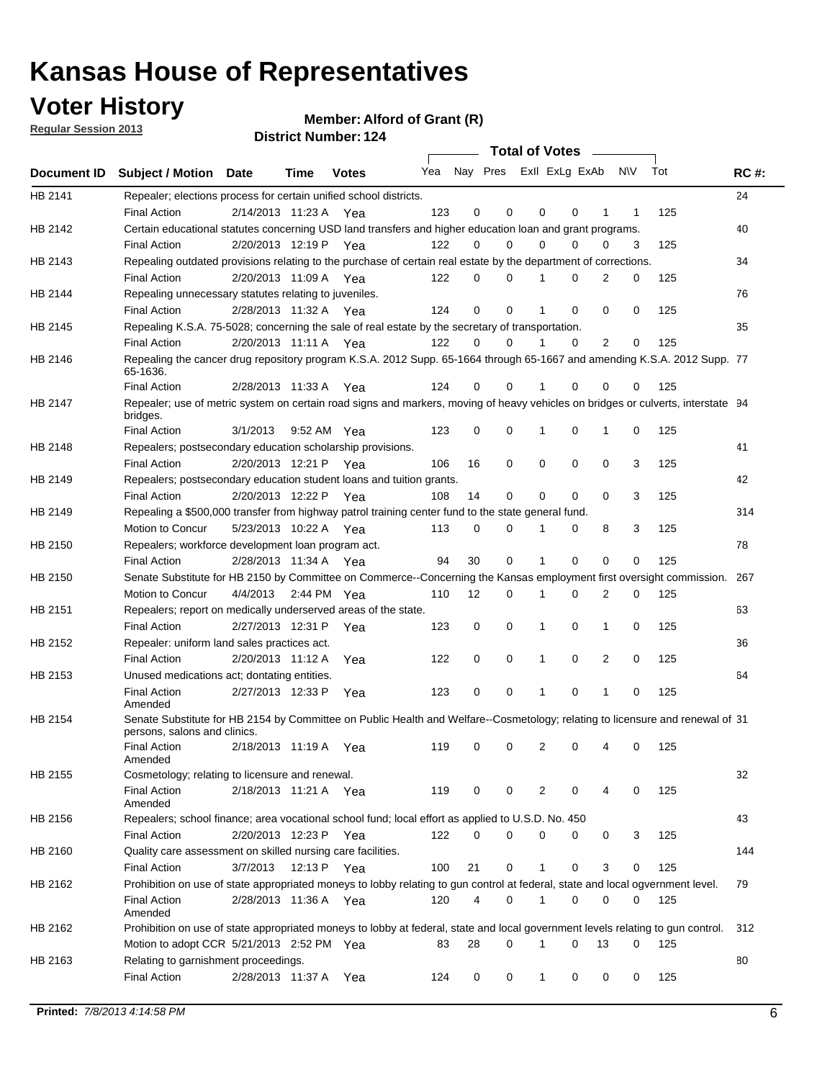## **Voter History**

**Member: Alford of Grant (R)** 

**Regular Session 2013**

|                |                                                                                                                                              |          |                       |              |                             |    | <b>Total of Votes</b> |              |          | $\sim$         |     |     |             |
|----------------|----------------------------------------------------------------------------------------------------------------------------------------------|----------|-----------------------|--------------|-----------------------------|----|-----------------------|--------------|----------|----------------|-----|-----|-------------|
|                | Document ID Subject / Motion Date                                                                                                            |          | Time                  | <b>Votes</b> | Yea Nay Pres ExII ExLg ExAb |    |                       |              |          |                | N\V | Tot | <b>RC#:</b> |
| HB 2141        | Repealer; elections process for certain unified school districts.                                                                            |          |                       |              |                             |    |                       |              |          |                |     |     | 24          |
|                | <b>Final Action</b>                                                                                                                          |          | 2/14/2013 11:23 A     | Yea          | 123                         | 0  | 0                     | 0            | 0        | 1              | 1   | 125 |             |
| HB 2142        | Certain educational statutes concerning USD land transfers and higher education loan and grant programs.                                     |          |                       |              |                             |    |                       |              |          |                |     |     | 40          |
|                | <b>Final Action</b>                                                                                                                          |          | 2/20/2013 12:19 P     | Yea          | 122                         | 0  | 0                     | 0            | 0        | 0              | 3   | 125 |             |
| HB 2143        | Repealing outdated provisions relating to the purchase of certain real estate by the department of corrections.                              |          |                       |              |                             |    |                       |              |          |                |     |     | 34          |
|                | <b>Final Action</b>                                                                                                                          |          | 2/20/2013 11:09 A Yea |              | 122                         | 0  | 0                     |              | 0        | $\overline{2}$ | 0   | 125 |             |
| HB 2144        | Repealing unnecessary statutes relating to juveniles.                                                                                        |          |                       |              |                             |    |                       |              |          |                |     |     | 76          |
|                | <b>Final Action</b>                                                                                                                          |          | 2/28/2013 11:32 A Yea |              | 124                         | 0  | 0                     |              | 0        | 0              | 0   | 125 |             |
| <b>HB 2145</b> | Repealing K.S.A. 75-5028; concerning the sale of real estate by the secretary of transportation.                                             |          |                       |              |                             |    |                       |              |          |                |     |     | 35          |
|                | <b>Final Action</b>                                                                                                                          |          | 2/20/2013 11:11 A Yea |              | 122                         | 0  | 0                     |              | 0        | 2              | 0   | 125 |             |
| HB 2146        | Repealing the cancer drug repository program K.S.A. 2012 Supp. 65-1664 through 65-1667 and amending K.S.A. 2012 Supp. 77<br>65-1636.         |          |                       |              |                             |    |                       |              |          |                |     |     |             |
|                | <b>Final Action</b>                                                                                                                          |          | 2/28/2013 11:33 A     | Yea          | 124                         | 0  | 0                     |              | 0        | 0              | 0   | 125 |             |
| HB 2147        | Repealer; use of metric system on certain road signs and markers, moving of heavy vehicles on bridges or culverts, interstate 94<br>bridges. |          |                       |              |                             |    |                       |              |          |                |     |     |             |
|                | <b>Final Action</b>                                                                                                                          | 3/1/2013 |                       | 9:52 AM Yea  | 123                         | 0  | 0                     | 1            | 0        | 1              | 0   | 125 |             |
| HB 2148        | Repealers; postsecondary education scholarship provisions.                                                                                   |          |                       |              |                             |    |                       |              |          |                |     |     | 41          |
|                | <b>Final Action</b>                                                                                                                          |          | 2/20/2013 12:21 P     | Yea          | 106                         | 16 | 0                     | 0            | 0        | 0              | 3   | 125 |             |
| HB 2149        | Repealers; postsecondary education student loans and tuition grants.                                                                         |          |                       |              |                             |    |                       |              |          |                |     |     | 42          |
|                | <b>Final Action</b>                                                                                                                          |          | 2/20/2013 12:22 P     | Yea          | 108                         | 14 | 0                     | 0            | 0        | $\Omega$       | 3   | 125 |             |
| HB 2149        | Repealing a \$500,000 transfer from highway patrol training center fund to the state general fund.                                           |          |                       |              |                             |    |                       |              |          |                |     |     | 314         |
|                | Motion to Concur                                                                                                                             |          | 5/23/2013 10:22 A Yea |              | 113                         | 0  | 0                     |              | 0        | 8              | 3   | 125 |             |
| HB 2150        | Repealers; workforce development loan program act.                                                                                           |          |                       |              |                             |    |                       |              |          |                |     |     | 78          |
|                | <b>Final Action</b>                                                                                                                          |          | 2/28/2013 11:34 A Yea |              | 94                          | 30 | 0                     | 1            | 0        | 0              | 0   | 125 |             |
| HB 2150        | Senate Substitute for HB 2150 by Committee on Commerce--Concerning the Kansas employment first oversight commission.                         |          |                       |              |                             |    |                       |              |          |                |     |     | 267         |
|                | Motion to Concur                                                                                                                             | 4/4/2013 |                       | 2:44 PM Yea  | 110                         | 12 | 0                     | 1            | 0        | 2              | 0   | 125 |             |
| HB 2151        | Repealers; report on medically underserved areas of the state.                                                                               |          |                       |              |                             |    |                       |              |          |                |     |     | 63          |
|                | <b>Final Action</b>                                                                                                                          |          | 2/27/2013 12:31 P     | Yea          | 123                         | 0  | 0                     | 1            | 0        | 1              | 0   | 125 |             |
| HB 2152        | Repealer: uniform land sales practices act.                                                                                                  |          |                       |              |                             |    |                       |              |          |                |     |     | 36          |
|                | <b>Final Action</b>                                                                                                                          |          | 2/20/2013 11:12 A     | Yea          | 122                         | 0  | 0                     | 1            | 0        | 2              | 0   | 125 |             |
| HB 2153        | Unused medications act; dontating entities.                                                                                                  |          |                       |              |                             |    |                       |              |          |                |     |     | 64          |
|                | <b>Final Action</b><br>Amended                                                                                                               |          | 2/27/2013 12:33 P     | Yea          | 123                         | 0  | 0                     |              | 0        | 1              | 0   | 125 |             |
| HB 2154        | Senate Substitute for HB 2154 by Committee on Public Health and Welfare--Cosmetology; relating to licensure and renewal of 31                |          |                       |              |                             |    |                       |              |          |                |     |     |             |
|                | persons, salons and clinics.                                                                                                                 |          |                       |              |                             |    |                       |              |          |                |     |     |             |
|                | <b>Final Action</b><br>Amended                                                                                                               |          | 2/18/2013 11:19 A     | Yea          | 119                         | 0  | 0                     | 2            | 0        |                | 0   | 125 |             |
| HB 2155        | Cosmetology; relating to licensure and renewal.                                                                                              |          |                       |              |                             |    |                       |              |          |                |     |     | 32          |
|                | <b>Final Action</b>                                                                                                                          |          | 2/18/2013 11:21 A Yea |              | 119                         | 0  | 0                     | 2            | 0        | 4              | 0   | 125 |             |
|                | Amended                                                                                                                                      |          |                       |              |                             |    |                       |              |          |                |     |     |             |
| HB 2156        | Repealers; school finance; area vocational school fund; local effort as applied to U.S.D. No. 450                                            |          |                       |              |                             |    |                       |              |          |                |     |     | 43          |
|                | <b>Final Action</b>                                                                                                                          |          | 2/20/2013 12:23 P     | Yea          | 122                         | 0  | 0                     | 0            | 0        | 0              | 3   | 125 |             |
| HB 2160        | Quality care assessment on skilled nursing care facilities.                                                                                  |          |                       |              |                             |    |                       |              |          |                |     |     | 144         |
|                | <b>Final Action</b>                                                                                                                          | 3/7/2013 | 12:13 P               | Yea          | 100                         | 21 | 0                     | $\mathbf{1}$ | 0        | 3              | 0   | 125 |             |
| HB 2162        | Prohibition on use of state appropriated moneys to lobby relating to gun control at federal, state and local ogvernment level.               |          |                       |              |                             |    |                       |              |          |                |     |     | 79          |
|                | <b>Final Action</b><br>Amended                                                                                                               |          | 2/28/2013 11:36 A Yea |              | 120                         | 4  | 0                     | 1            | 0        | 0              | 0   | 125 |             |
| HB 2162        | Prohibition on use of state appropriated moneys to lobby at federal, state and local government levels relating to gun control.              |          |                       |              |                             |    |                       |              |          |                |     |     | 312         |
|                | Motion to adopt CCR 5/21/2013 2:52 PM Yea                                                                                                    |          |                       |              | 83                          | 28 | 0                     | 1            | $\Omega$ | 13             | 0   | 125 |             |
| HB 2163        | Relating to garnishment proceedings.                                                                                                         |          |                       |              |                             |    |                       |              |          |                |     |     | 80          |
|                | <b>Final Action</b>                                                                                                                          |          | 2/28/2013 11:37 A Yea |              | 124                         | 0  | 0                     | $\mathbf{1}$ | 0        | 0              | 0   | 125 |             |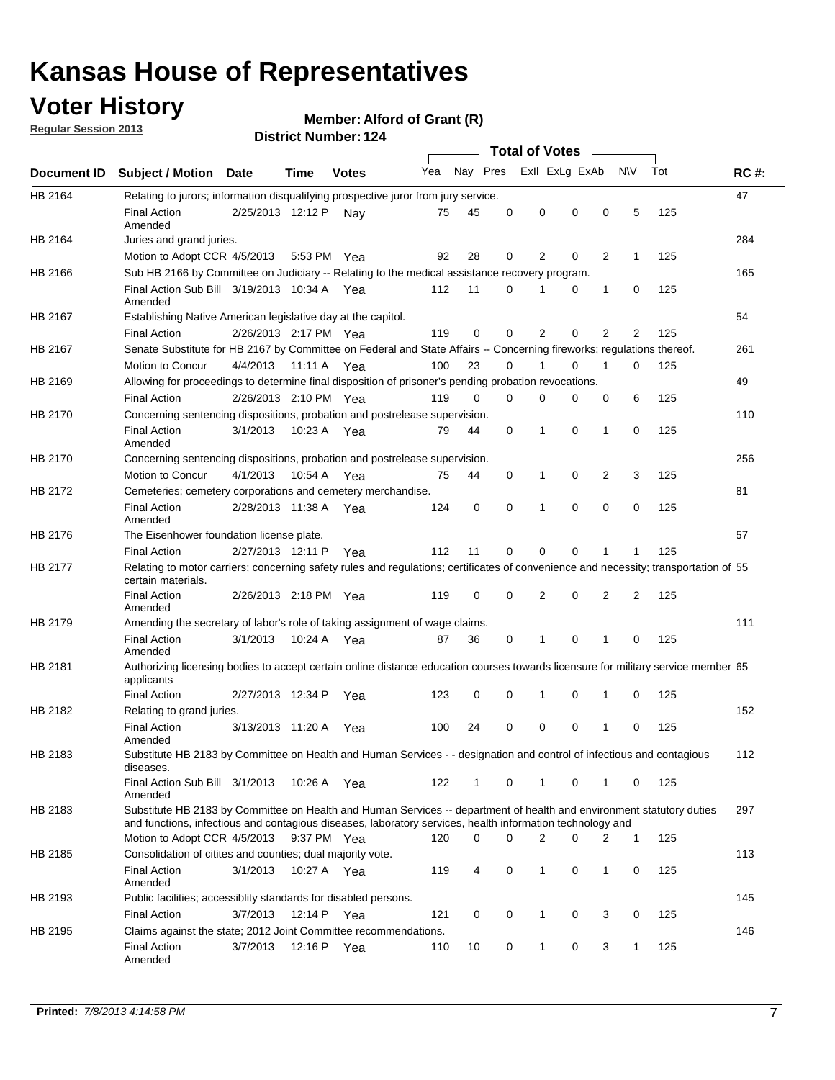## **Voter History**

**Member: Alford of Grant (R)** 

**Regular Session 2013**

|             |                                                                                                                                                                                                                                    |                       |             | PISUILLINUIIIDEL. IZ4 |     |              | Total of Votes – |                |                |                |              |     |             |
|-------------|------------------------------------------------------------------------------------------------------------------------------------------------------------------------------------------------------------------------------------|-----------------------|-------------|-----------------------|-----|--------------|------------------|----------------|----------------|----------------|--------------|-----|-------------|
| Document ID | <b>Subject / Motion</b>                                                                                                                                                                                                            | <b>Date</b>           | Time        | <b>Votes</b>          | Yea | Nay Pres     |                  |                | Exll ExLg ExAb |                | <b>NV</b>    | Tot | <b>RC#:</b> |
| HB 2164     | Relating to jurors; information disqualifying prospective juror from jury service.                                                                                                                                                 |                       |             |                       |     |              |                  |                |                |                |              |     | 47          |
|             | <b>Final Action</b>                                                                                                                                                                                                                | 2/25/2013 12:12 P     |             | Nav                   | 75  | 45           | 0                | 0              | 0              | 0              | 5            | 125 |             |
|             | Amended                                                                                                                                                                                                                            |                       |             |                       |     |              |                  |                |                |                |              |     |             |
| HB 2164     | Juries and grand juries.                                                                                                                                                                                                           |                       |             |                       |     |              |                  |                |                |                |              |     | 284         |
|             | Motion to Adopt CCR 4/5/2013                                                                                                                                                                                                       |                       | 5:53 PM Yea |                       | 92  | 28           | 0                | 2              | 0              | 2              | 1            | 125 |             |
| HB 2166     | Sub HB 2166 by Committee on Judiciary -- Relating to the medical assistance recovery program.                                                                                                                                      |                       |             |                       |     |              |                  |                |                |                |              |     | 165         |
|             | Final Action Sub Bill 3/19/2013 10:34 A Yea<br>Amended                                                                                                                                                                             |                       |             |                       | 112 | 11           | 0                | 1              | 0              | 1              | 0            | 125 |             |
| HB 2167     | Establishing Native American legislative day at the capitol.                                                                                                                                                                       |                       |             |                       |     |              |                  |                |                |                |              |     | 54          |
|             | <b>Final Action</b>                                                                                                                                                                                                                | 2/26/2013 2:17 PM Yea |             |                       | 119 | 0            | $\Omega$         | 2              | 0              | 2              | 2            | 125 |             |
| HB 2167     | Senate Substitute for HB 2167 by Committee on Federal and State Affairs -- Concerning fireworks; regulations thereof.                                                                                                              |                       |             |                       |     |              |                  |                |                |                |              |     | 261         |
|             | Motion to Concur                                                                                                                                                                                                                   | 4/4/2013              | 11:11 A Yea |                       | 100 | 23           | $\Omega$         | 1              | 0              | $\mathbf{1}$   | 0            | 125 |             |
| HB 2169     | Allowing for proceedings to determine final disposition of prisoner's pending probation revocations.                                                                                                                               |                       |             |                       |     |              |                  |                |                |                |              |     | 49          |
|             | <b>Final Action</b>                                                                                                                                                                                                                | 2/26/2013 2:10 PM Yea |             |                       | 119 | 0            | $\Omega$         | 0              | 0              | 0              | 6            | 125 |             |
| HB 2170     | Concerning sentencing dispositions, probation and postrelease supervision.                                                                                                                                                         |                       |             |                       |     |              |                  |                |                |                |              |     | 110         |
|             | <b>Final Action</b><br>Amended                                                                                                                                                                                                     | 3/1/2013              | 10:23 A Yea |                       | 79  | 44           | 0                | 1              | 0              | 1              | 0            | 125 |             |
| HB 2170     | Concerning sentencing dispositions, probation and postrelease supervision.                                                                                                                                                         |                       |             |                       |     |              |                  |                |                |                |              |     | 256         |
|             | Motion to Concur                                                                                                                                                                                                                   | 4/1/2013              | 10:54 A     | Yea                   | 75  | 44           | 0                | 1              | 0              | $\overline{2}$ | 3            | 125 |             |
| HB 2172     | Cemeteries; cemetery corporations and cemetery merchandise.                                                                                                                                                                        |                       |             |                       |     |              |                  |                |                |                |              |     | 81          |
|             | <b>Final Action</b><br>Amended                                                                                                                                                                                                     | 2/28/2013 11:38 A Yea |             |                       | 124 | 0            | $\Omega$         | 1              | $\Omega$       | $\Omega$       | 0            | 125 |             |
| HB 2176     | The Eisenhower foundation license plate.                                                                                                                                                                                           |                       |             |                       |     |              |                  |                |                |                |              |     | 57          |
|             | <b>Final Action</b>                                                                                                                                                                                                                | 2/27/2013 12:11 P     |             | Yea                   | 112 | 11           | 0                | 0              | 0              | 1              | 1            | 125 |             |
| HB 2177     | Relating to motor carriers; concerning safety rules and regulations; certificates of convenience and necessity; transportation of 55<br>certain materials.                                                                         |                       |             |                       |     |              |                  |                |                |                |              |     |             |
|             | <b>Final Action</b><br>Amended                                                                                                                                                                                                     | 2/26/2013 2:18 PM Yea |             |                       | 119 | 0            | $\Omega$         | $\overline{2}$ | 0              | $\overline{2}$ | 2            | 125 |             |
| HB 2179     | Amending the secretary of labor's role of taking assignment of wage claims.                                                                                                                                                        |                       |             |                       |     |              |                  |                |                |                |              |     | 111         |
|             | <b>Final Action</b><br>Amended                                                                                                                                                                                                     | 3/1/2013              | 10:24 A Yea |                       | 87  | 36           | 0                | 1              | 0              | 1              | 0            | 125 |             |
| HB 2181     | Authorizing licensing bodies to accept certain online distance education courses towards licensure for military service member 55<br>applicants                                                                                    |                       |             |                       |     |              |                  |                |                |                |              |     |             |
|             | <b>Final Action</b>                                                                                                                                                                                                                | 2/27/2013 12:34 P     |             | Yea                   | 123 | 0            | 0                | 1              | 0              | 1              | 0            | 125 |             |
| HB 2182     | Relating to grand juries.                                                                                                                                                                                                          |                       |             |                       |     |              |                  |                |                |                |              |     | 152         |
|             | <b>Final Action</b><br>Amended                                                                                                                                                                                                     | 3/13/2013 11:20 A     |             | Yea                   | 100 | 24           | 0                | 0              | 0              | 1              | 0            | 125 |             |
| HB 2183     | Substitute HB 2183 by Committee on Health and Human Services - - designation and control of infectious and contagious<br>diseases.                                                                                                 |                       |             |                       |     |              |                  |                |                |                |              |     | 112         |
|             | Final Action Sub Bill 3/1/2013<br>Amended                                                                                                                                                                                          |                       | 10:26 A Yea |                       | 122 | $\mathbf{1}$ | 0                | $\mathbf{1}$   | 0              | $\mathbf{1}$   | 0            | 125 |             |
| HB 2183     | Substitute HB 2183 by Committee on Health and Human Services -- department of health and environment statutory duties<br>and functions, infectious and contagious diseases, laboratory services, health information technology and |                       |             |                       |     |              |                  |                |                |                |              |     | 297         |
|             | Motion to Adopt CCR 4/5/2013                                                                                                                                                                                                       |                       | 9:37 PM Yea |                       | 120 | 0            | 0                | 2              | 0              | 2              | $\mathbf{1}$ | 125 |             |
| HB 2185     | Consolidation of citites and counties; dual majority vote.                                                                                                                                                                         |                       |             |                       |     |              |                  |                |                |                |              |     | 113         |
|             | <b>Final Action</b><br>Amended                                                                                                                                                                                                     | 3/1/2013              | 10:27 A Yea |                       | 119 | 4            | 0                | $\mathbf{1}$   | 0              | 1              | 0            | 125 |             |
| HB 2193     | Public facilities; accessiblity standards for disabled persons.                                                                                                                                                                    |                       |             |                       |     |              |                  |                |                |                |              |     | 145         |
|             | <b>Final Action</b>                                                                                                                                                                                                                | 3/7/2013              | 12:14 P Yea |                       | 121 | 0            | 0                | 1              | 0              | 3              | 0            | 125 |             |
| HB 2195     | Claims against the state; 2012 Joint Committee recommendations.                                                                                                                                                                    |                       |             |                       |     |              |                  |                |                |                |              |     | 146         |
|             | Final Action<br>Amended                                                                                                                                                                                                            | 3/7/2013              | 12:16 P Yea |                       | 110 | 10           | 0                | 1              | 0              | 3              | 1            | 125 |             |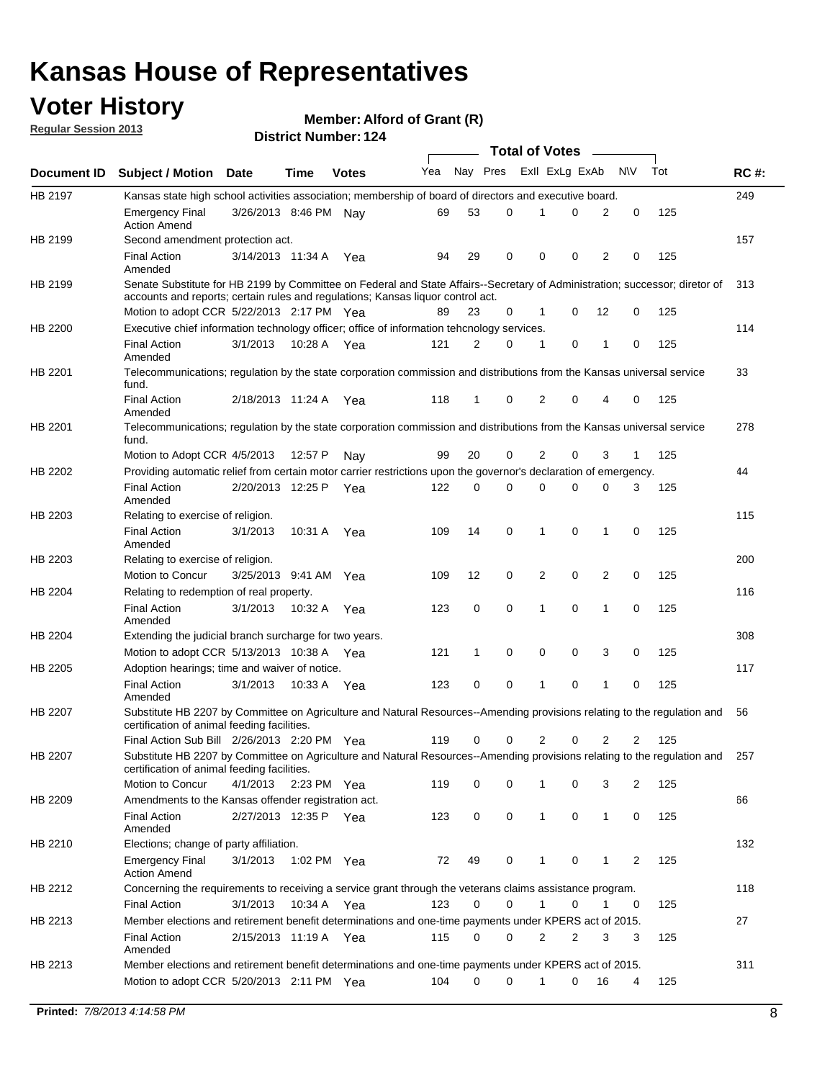## **Voter History**

**Member: Alford of Grant (R)** 

**Regular Session 2013**

|             |                                                                                                                                                                             |                       |             |              |     |             | <b>Total of Votes</b> |                |   |                |              |     |             |
|-------------|-----------------------------------------------------------------------------------------------------------------------------------------------------------------------------|-----------------------|-------------|--------------|-----|-------------|-----------------------|----------------|---|----------------|--------------|-----|-------------|
| Document ID | <b>Subject / Motion Date</b>                                                                                                                                                |                       | Time        | <b>Votes</b> | Yea | Nay Pres    |                       | Exll ExLg ExAb |   |                | <b>NV</b>    | Tot | <b>RC#:</b> |
| HB 2197     | Kansas state high school activities association; membership of board of directors and executive board.                                                                      |                       |             |              |     |             |                       |                |   |                |              |     | 249         |
|             | <b>Emergency Final</b><br><b>Action Amend</b>                                                                                                                               | 3/26/2013 8:46 PM Nay |             |              | 69  | 53          | 0                     |                | 0 | 2              | 0            | 125 |             |
| HB 2199     | Second amendment protection act.                                                                                                                                            |                       |             |              |     |             |                       |                |   |                |              |     | 157         |
|             | <b>Final Action</b><br>Amended                                                                                                                                              | 3/14/2013 11:34 A     |             | Yea          | 94  | 29          | 0                     | 0              | 0 | 2              | 0            | 125 |             |
| HB 2199     | Senate Substitute for HB 2199 by Committee on Federal and State Affairs--Secretary of Administration; successor; diretor of                                                 |                       |             |              |     |             |                       |                |   |                |              |     | 313         |
|             | accounts and reports; certain rules and regulations; Kansas liquor control act.                                                                                             |                       |             |              |     |             |                       |                |   |                |              |     |             |
|             | Motion to adopt CCR 5/22/2013 2:17 PM Yea                                                                                                                                   |                       |             |              | 89  | 23          | 0                     | 1              | 0 | 12             | 0            | 125 |             |
| HB 2200     | Executive chief information technology officer; office of information tehcnology services.                                                                                  |                       |             |              |     |             |                       |                |   |                |              |     | 114         |
|             | <b>Final Action</b><br>Amended                                                                                                                                              | 3/1/2013              | 10:28 A     | Yea          | 121 | 2           | 0                     | 1              | 0 | 1              | 0            | 125 |             |
| HB 2201     | Telecommunications; regulation by the state corporation commission and distributions from the Kansas universal service<br>fund.                                             |                       |             |              |     |             |                       |                |   |                |              |     | 33          |
|             | <b>Final Action</b><br>Amended                                                                                                                                              | 2/18/2013 11:24 A     |             | Yea          | 118 | 1           | 0                     | 2              | 0 | 4              | 0            | 125 |             |
| HB 2201     | Telecommunications; regulation by the state corporation commission and distributions from the Kansas universal service<br>fund.                                             |                       |             |              |     |             |                       |                |   |                |              |     | 278         |
|             | Motion to Adopt CCR 4/5/2013                                                                                                                                                |                       | 12:57 P     | Nav          | 99  | 20          | 0                     | 2              | 0 | 3              | $\mathbf{1}$ | 125 |             |
| HB 2202     | Providing automatic relief from certain motor carrier restrictions upon the governor's declaration of emergency.                                                            |                       |             |              |     |             |                       |                |   |                |              |     | 44          |
|             | <b>Final Action</b><br>Amended                                                                                                                                              | 2/20/2013 12:25 P     |             | Yea          | 122 | 0           | 0                     | 0              | 0 | 0              | 3            | 125 |             |
| HB 2203     | Relating to exercise of religion.                                                                                                                                           |                       |             |              |     |             |                       |                |   |                |              |     | 115         |
|             | <b>Final Action</b><br>Amended                                                                                                                                              | 3/1/2013              | 10:31 A     | Yea          | 109 | 14          | 0                     | 1              | 0 | 1              | 0            | 125 |             |
| HB 2203     | Relating to exercise of religion.                                                                                                                                           |                       |             |              |     |             |                       |                |   |                |              |     | 200         |
|             | Motion to Concur                                                                                                                                                            | 3/25/2013 9:41 AM     |             | Yea          | 109 | 12          | 0                     | 2              | 0 | 2              | 0            | 125 |             |
| HB 2204     | Relating to redemption of real property.                                                                                                                                    |                       |             |              |     |             |                       |                |   |                |              |     | 116         |
|             | <b>Final Action</b><br>Amended                                                                                                                                              | 3/1/2013              | 10:32 A     | Yea          | 123 | $\mathbf 0$ | 0                     | 1              | 0 | $\mathbf{1}$   | 0            | 125 |             |
| HB 2204     | Extending the judicial branch surcharge for two years.                                                                                                                      |                       |             |              |     |             |                       |                |   |                |              |     | 308         |
|             | Motion to adopt CCR 5/13/2013 10:38 A Yea                                                                                                                                   |                       |             |              | 121 | 1           | 0                     | 0              | 0 | 3              | 0            | 125 |             |
| HB 2205     | Adoption hearings; time and waiver of notice.                                                                                                                               |                       |             |              |     |             |                       |                |   |                |              |     | 117         |
|             | <b>Final Action</b><br>Amended                                                                                                                                              | 3/1/2013              | 10:33 A Yea |              | 123 | 0           | 0                     | 1              | 0 | 1              | 0            | 125 |             |
| HB 2207     | Substitute HB 2207 by Committee on Agriculture and Natural Resources--Amending provisions relating to the regulation and<br>certification of animal feeding facilities.     |                       |             |              |     |             |                       |                |   |                |              |     | 56          |
|             | Final Action Sub Bill 2/26/2013 2:20 PM Yea                                                                                                                                 |                       |             |              | 119 | 0           | 0                     | 2              | 0 | $\overline{2}$ | 2            | 125 |             |
| HB 2207     | Substitute HB 2207 by Committee on Agriculture and Natural Resources--Amending provisions relating to the regulation and 257<br>certification of animal feeding facilities. |                       |             |              |     |             |                       |                |   |                |              |     |             |
|             | Motion to Concur                                                                                                                                                            | 4/1/2013              | 2:23 PM Yea |              | 119 | 0           | 0                     | 1              | 0 | 3              | 2            | 125 |             |
| HB 2209     | Amendments to the Kansas offender registration act.                                                                                                                         |                       |             |              |     |             |                       |                |   |                |              |     | 66          |
|             | <b>Final Action</b><br>Amended                                                                                                                                              | 2/27/2013 12:35 P Yea |             |              | 123 | 0           | 0                     | $\mathbf{1}$   | 0 | $\mathbf{1}$   | 0            | 125 |             |
| HB 2210     | Elections; change of party affiliation.                                                                                                                                     |                       |             |              |     |             |                       |                |   |                |              |     | 132         |
|             | <b>Emergency Final</b><br><b>Action Amend</b>                                                                                                                               | 3/1/2013              | 1:02 PM Yea |              | 72  | 49          | 0                     |                | 0 | 1              | 2            | 125 |             |
| HB 2212     | Concerning the requirements to receiving a service grant through the veterans claims assistance program.                                                                    |                       |             |              |     |             |                       |                |   |                |              |     | 118         |
|             | <b>Final Action</b>                                                                                                                                                         | 3/1/2013              | 10:34 A Yea |              | 123 | 0           | 0                     | $\mathbf{1}$   | 0 | 1              | 0            | 125 |             |
| HB 2213     | Member elections and retirement benefit determinations and one-time payments under KPERS act of 2015.                                                                       |                       |             |              |     |             |                       |                |   |                |              |     | 27          |
|             | <b>Final Action</b><br>Amended                                                                                                                                              | 2/15/2013 11:19 A Yea |             |              | 115 | 0           | 0                     | 2              | 2 | 3              | 3            | 125 |             |
| HB 2213     | Member elections and retirement benefit determinations and one-time payments under KPERS act of 2015.                                                                       |                       |             |              |     |             |                       |                |   |                |              |     | 311         |
|             | Motion to adopt CCR 5/20/2013 2:11 PM Yea                                                                                                                                   |                       |             |              | 104 | $\Omega$    | 0                     | 1              | 0 | 16             | 4            | 125 |             |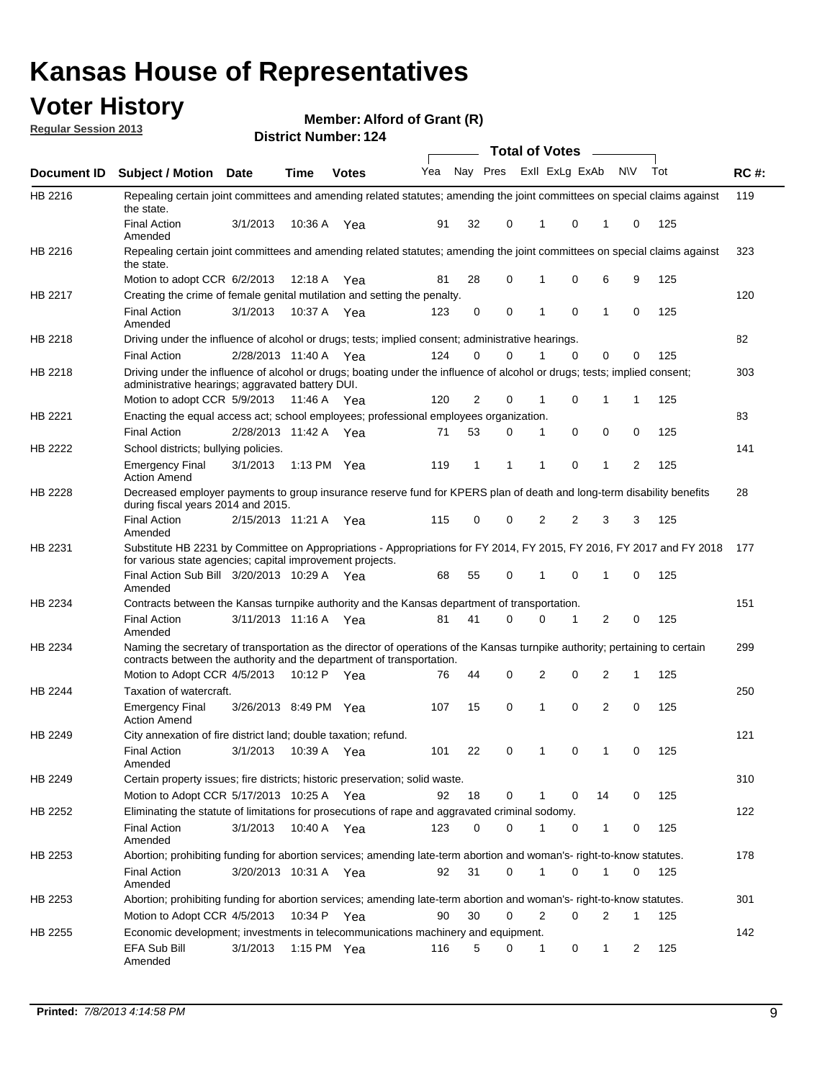## **Voter History**

**Member: Alford of Grant (R)** 

**Regular Session 2013**

|             |                                                                                                                                                                                                       |                       |             | <b>DISTICL MUILIDEL, 124</b> |     |              |                |                | Total of Votes —        |              |           |     |             |
|-------------|-------------------------------------------------------------------------------------------------------------------------------------------------------------------------------------------------------|-----------------------|-------------|------------------------------|-----|--------------|----------------|----------------|-------------------------|--------------|-----------|-----|-------------|
| Document ID | <b>Subject / Motion</b>                                                                                                                                                                               | Date                  | Time        | <b>Votes</b>                 | Yea |              |                |                | Nay Pres Exll ExLg ExAb |              | <b>NV</b> | Tot | <b>RC#:</b> |
| HB 2216     | Repealing certain joint committees and amending related statutes; amending the joint committees on special claims against<br>the state.                                                               |                       |             |                              |     |              |                |                |                         |              |           |     | 119         |
|             | <b>Final Action</b><br>Amended                                                                                                                                                                        | 3/1/2013              | 10:36 A     | Yea                          | 91  | 32           | 0              | 1              | 0                       | 1            | 0         | 125 |             |
| HB 2216     | Repealing certain joint committees and amending related statutes; amending the joint committees on special claims against<br>the state.                                                               |                       |             |                              |     |              |                |                |                         |              |           |     | 323         |
|             | Motion to adopt CCR 6/2/2013                                                                                                                                                                          |                       |             | 12:18 A Yea                  | 81  | 28           | 0              | 1              | 0                       | 6            | 9         | 125 |             |
| HB 2217     | Creating the crime of female genital mutilation and setting the penalty.                                                                                                                              |                       |             |                              |     |              |                |                |                         |              |           |     | 120         |
|             | <b>Final Action</b><br>Amended                                                                                                                                                                        | 3/1/2013              |             | 10:37 A Yea                  | 123 | 0            | 0              | 1              | 0                       | $\mathbf{1}$ | 0         | 125 |             |
| HB 2218     | Driving under the influence of alcohol or drugs; tests; implied consent; administrative hearings.                                                                                                     |                       |             |                              |     |              |                |                |                         |              |           |     | 82          |
|             | <b>Final Action</b>                                                                                                                                                                                   | 2/28/2013 11:40 A Yea |             |                              | 124 | $\mathbf 0$  | 0              |                | 0                       | 0            | 0         | 125 |             |
| HB 2218     | Driving under the influence of alcohol or drugs; boating under the influence of alcohol or drugs; tests; implied consent;<br>administrative hearings; aggravated battery DUI.                         |                       |             |                              |     |              |                |                |                         |              |           |     | 303         |
|             | Motion to adopt CCR 5/9/2013                                                                                                                                                                          |                       | 11:46 A     | Yea                          | 120 | 2            | 0              | 1              | 0                       | $\mathbf 1$  | 1         | 125 |             |
| HB 2221     | Enacting the equal access act; school employees; professional employees organization.                                                                                                                 |                       |             |                              |     |              |                |                |                         |              |           |     | 83          |
|             | <b>Final Action</b>                                                                                                                                                                                   | 2/28/2013 11:42 A Yea |             |                              | 71  | 53           | 0              | 1              | 0                       | 0            | 0         | 125 |             |
| HB 2222     | School districts; bullying policies.                                                                                                                                                                  |                       |             |                              |     |              |                |                |                         |              |           |     | 141         |
|             | <b>Emergency Final</b><br><b>Action Amend</b>                                                                                                                                                         | 3/1/2013              |             | 1:13 PM Yea                  | 119 | $\mathbf{1}$ | 1              | 1              | 0                       | 1            | 2         | 125 |             |
| HB 2228     | Decreased employer payments to group insurance reserve fund for KPERS plan of death and long-term disability benefits<br>during fiscal years 2014 and 2015.                                           |                       |             |                              |     |              |                |                |                         |              |           |     | 28          |
|             | <b>Final Action</b><br>Amended                                                                                                                                                                        | 2/15/2013 11:21 A Yea |             |                              | 115 | 0            | 0              | $\overline{2}$ | $\overline{2}$          | 3            | 3         | 125 |             |
| HB 2231     | Substitute HB 2231 by Committee on Appropriations - Appropriations for FY 2014, FY 2015, FY 2016, FY 2017 and FY 2018<br>for various state agencies; capital improvement projects.                    |                       |             |                              |     |              |                |                |                         |              |           |     | 177         |
|             | Final Action Sub Bill 3/20/2013 10:29 A<br>Amended                                                                                                                                                    |                       |             | Yea                          | 68  | 55           | 0              | 1              | 0                       | 1            | 0         | 125 |             |
| HB 2234     | Contracts between the Kansas turnpike authority and the Kansas department of transportation.                                                                                                          |                       |             |                              |     |              |                |                |                         |              |           |     | 151         |
|             | <b>Final Action</b><br>Amended                                                                                                                                                                        | 3/11/2013 11:16 A Yea |             |                              | 81  | 41           | $\Omega$       | $\Omega$       | 1                       | 2            | 0         | 125 |             |
| HB 2234     | Naming the secretary of transportation as the director of operations of the Kansas turnpike authority; pertaining to certain<br>contracts between the authority and the department of transportation. |                       |             |                              |     |              |                |                |                         |              |           |     | 299         |
|             | Motion to Adopt CCR 4/5/2013                                                                                                                                                                          |                       | 10:12 P     | Yea                          | 76  | 44           | 0              | $\overline{2}$ | 0                       | 2            | 1         | 125 |             |
| HB 2244     | Taxation of watercraft.                                                                                                                                                                               |                       |             |                              |     |              |                |                |                         |              |           |     | 250         |
|             | <b>Emergency Final</b><br><b>Action Amend</b>                                                                                                                                                         | 3/26/2013 8:49 PM Yea |             |                              | 107 | 15           | 0              | 1              | 0                       | 2            | 0         | 125 |             |
| HB 2249     | City annexation of fire district land; double taxation; refund.                                                                                                                                       |                       |             |                              |     |              |                |                |                         |              |           |     | 121         |
|             | Final Action 3/1/2013 10:39 A Yea<br>Amended                                                                                                                                                          |                       |             |                              | 101 | 22           | $\overline{0}$ |                | $\mathbf 0$             |              |           | 125 |             |
| HB 2249     | Certain property issues; fire districts; historic preservation; solid waste.                                                                                                                          |                       |             |                              |     |              |                |                |                         |              |           |     | 310         |
|             | Motion to Adopt CCR 5/17/2013 10:25 A Yea                                                                                                                                                             |                       |             |                              | 92  | 18           | 0              | 1              | 0                       | 14           | 0         | 125 |             |
| HB 2252     | Eliminating the statute of limitations for prosecutions of rape and aggravated criminal sodomy.                                                                                                       |                       |             |                              |     |              |                |                |                         |              |           |     | 122         |
|             | <b>Final Action</b><br>Amended                                                                                                                                                                        | 3/1/2013              | 10:40 A Yea |                              | 123 | 0            | $\Omega$       | 1              | 0                       | 1            | 0         | 125 |             |
| HB 2253     | Abortion; prohibiting funding for abortion services; amending late-term abortion and woman's- right-to-know statutes.                                                                                 |                       |             |                              |     |              |                |                |                         |              |           |     | 178         |
|             | <b>Final Action</b><br>Amended                                                                                                                                                                        | 3/20/2013 10:31 A Yea |             |                              | 92  | 31           | 0              | 1              | 0                       | 1            | 0         | 125 |             |
| HB 2253     | Abortion; prohibiting funding for abortion services; amending late-term abortion and woman's- right-to-know statutes.                                                                                 |                       |             |                              |     |              |                |                |                         |              |           |     | 301         |
|             | Motion to Adopt CCR 4/5/2013                                                                                                                                                                          |                       |             | 10:34 P Yea                  | 90  | 30           | 0              | 2              | 0                       | 2            | 1         | 125 |             |
| HB 2255     | Economic development; investments in telecommunications machinery and equipment.                                                                                                                      |                       |             |                              |     |              |                |                |                         |              |           |     | 142         |
|             | EFA Sub Bill<br>Amended                                                                                                                                                                               | 3/1/2013              |             | 1:15 PM Yea                  | 116 | 5            | 0              | 1              | 0                       | 1            | 2         | 125 |             |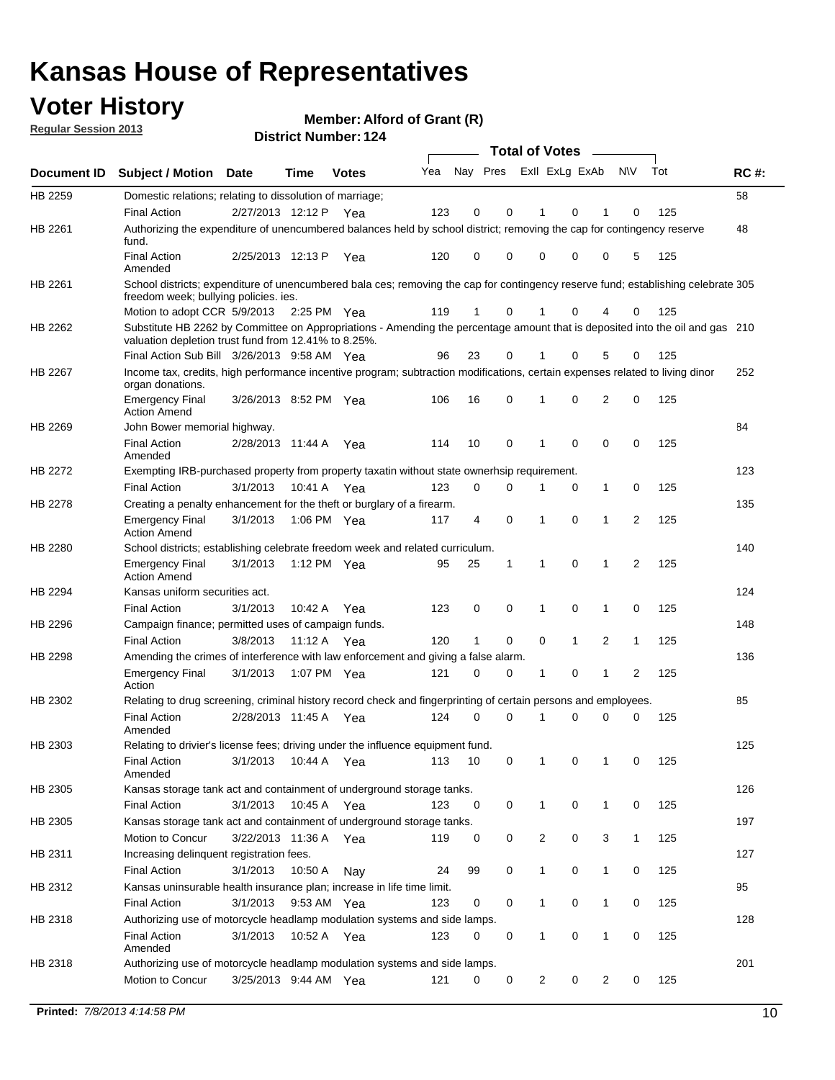## **Voter History**

**Member: Alford of Grant (R)** 

**Regular Session 2013**

|                    |                                                                                                                                                  |                       |             | PISUILLINUIIIDEL. IZ4 |     |                         |             | Total of Votes - |              |                |                |     |             |
|--------------------|--------------------------------------------------------------------------------------------------------------------------------------------------|-----------------------|-------------|-----------------------|-----|-------------------------|-------------|------------------|--------------|----------------|----------------|-----|-------------|
| <b>Document ID</b> | <b>Subject / Motion</b>                                                                                                                          | <b>Date</b>           | Time        | <b>Votes</b>          | Yea | Nay Pres ExII ExLg ExAb |             |                  |              |                | <b>NV</b>      | Tot | <b>RC#:</b> |
| HB 2259            | Domestic relations; relating to dissolution of marriage;                                                                                         |                       |             |                       |     |                         |             |                  |              |                |                |     | 58          |
|                    | <b>Final Action</b>                                                                                                                              | 2/27/2013 12:12 P Yea |             |                       | 123 | 0                       | 0           | 1                | 0            | 1              | 0              | 125 |             |
| HB 2261            | Authorizing the expenditure of unencumbered balances held by school district; removing the cap for contingency reserve<br>fund.                  |                       |             |                       |     |                         |             |                  |              |                |                |     | 48          |
|                    | <b>Final Action</b><br>Amended                                                                                                                   | 2/25/2013 12:13 P     |             | Yea                   | 120 | 0                       | 0           | 0                | 0            | 0              | 5              | 125 |             |
| HB 2261            | School districts; expenditure of unencumbered bala ces; removing the cap for contingency reserve fund; establishing celebrate 305                |                       |             |                       |     |                         |             |                  |              |                |                |     |             |
|                    | freedom week; bullying policies. ies.<br>Motion to adopt CCR 5/9/2013                                                                            |                       |             |                       | 119 | 1                       | 0           | 1                | 0            | 4              | 0              | 125 |             |
| HB 2262            | Substitute HB 2262 by Committee on Appropriations - Amending the percentage amount that is deposited into the oil and gas 210                    |                       | 2:25 PM Yea |                       |     |                         |             |                  |              |                |                |     |             |
|                    | valuation depletion trust fund from 12.41% to 8.25%.                                                                                             |                       |             |                       |     |                         |             |                  |              |                |                |     |             |
|                    | Final Action Sub Bill 3/26/2013 9:58 AM Yea                                                                                                      |                       |             |                       | 96  | 23                      | 0           |                  | 0            | 5              | 0              | 125 |             |
| HB 2267            | Income tax, credits, high performance incentive program; subtraction modifications, certain expenses related to living dinor<br>organ donations. |                       |             |                       |     |                         |             |                  |              |                |                |     | 252         |
|                    | <b>Emergency Final</b><br><b>Action Amend</b>                                                                                                    | 3/26/2013 8:52 PM Yea |             |                       | 106 | 16                      | 0           | 1                | 0            | $\overline{2}$ | 0              | 125 |             |
| HB 2269            | John Bower memorial highway.                                                                                                                     |                       |             |                       |     |                         |             |                  |              |                |                |     | 84          |
|                    | <b>Final Action</b><br>Amended                                                                                                                   | 2/28/2013 11:44 A Yea |             |                       | 114 | 10                      | 0           | 1                | 0            | 0              | 0              | 125 |             |
| HB 2272            | Exempting IRB-purchased property from property taxatin without state ownerhsip requirement.                                                      |                       |             |                       |     |                         |             |                  |              |                |                |     | 123         |
|                    | <b>Final Action</b>                                                                                                                              | 3/1/2013              | 10:41 A Yea |                       | 123 | 0                       | 0           | 1                | 0            | $\mathbf 1$    | 0              | 125 |             |
| HB 2278            | Creating a penalty enhancement for the theft or burglary of a firearm.                                                                           |                       |             |                       |     |                         |             |                  |              |                |                |     | 135         |
|                    | <b>Emergency Final</b><br><b>Action Amend</b>                                                                                                    | 3/1/2013              | 1:06 PM Yea |                       | 117 | 4                       | $\mathbf 0$ | 1                | 0            | $\mathbf 1$    | 2              | 125 |             |
| HB 2280            | School districts; establishing celebrate freedom week and related curriculum.                                                                    |                       |             |                       |     |                         |             |                  |              |                |                |     | 140         |
|                    | <b>Emergency Final</b><br>Action Amend                                                                                                           | 3/1/2013              |             | 1:12 PM Yea           | 95  | 25                      | 1           | 1                | 0            | $\mathbf{1}$   | $\overline{2}$ | 125 |             |
| HB 2294            | Kansas uniform securities act.                                                                                                                   |                       |             |                       |     |                         |             |                  |              |                |                |     | 124         |
|                    | <b>Final Action</b>                                                                                                                              | 3/1/2013              | 10:42 A     | Yea                   | 123 | 0                       | 0           | 1                | 0            | 1              | 0              | 125 |             |
| HB 2296            | Campaign finance; permitted uses of campaign funds.                                                                                              |                       |             |                       |     |                         |             |                  |              |                |                |     | 148         |
|                    | <b>Final Action</b>                                                                                                                              | 3/8/2013              | 11:12 A Yea |                       | 120 | $\mathbf{1}$            | 0           | 0                | $\mathbf{1}$ | 2              | $\mathbf{1}$   | 125 |             |
| HB 2298            | Amending the crimes of interference with law enforcement and giving a false alarm.                                                               |                       |             |                       |     |                         |             |                  |              |                |                |     | 136         |
|                    | <b>Emergency Final</b><br>Action                                                                                                                 | 3/1/2013              | 1:07 PM Yea |                       | 121 | 0                       | 0           | 1                | 0            | 1              | 2              | 125 |             |
| HB 2302            | Relating to drug screening, criminal history record check and fingerprinting of certain persons and employees.                                   |                       |             |                       |     |                         |             |                  |              |                |                |     | 85          |
|                    | <b>Final Action</b><br>Amended                                                                                                                   | 2/28/2013 11:45 A Yea |             |                       | 124 | 0                       | 0           | 1                | 0            | 0              | 0              | 125 |             |
| HB 2303            | Relating to drivier's license fees; driving under the influence equipment fund.                                                                  |                       |             |                       |     |                         |             |                  |              |                |                |     | 125         |
|                    | <b>Final Action</b><br>Amended                                                                                                                   | 3/1/2013              | 10:44 A     | Yea                   | 113 | 10                      | 0           |                  | 0            |                | 0              | 125 |             |
| HB 2305            | Kansas storage tank act and containment of underground storage tanks.                                                                            |                       |             |                       |     |                         |             |                  |              |                |                |     | 126         |
|                    | <b>Final Action</b>                                                                                                                              | 3/1/2013              | 10:45 A     | Yea                   | 123 | 0                       | 0           | $\mathbf{1}$     | 0            | $\mathbf{1}$   | 0              | 125 |             |
| HB 2305            | Kansas storage tank act and containment of underground storage tanks.                                                                            |                       |             |                       |     |                         |             |                  |              |                |                |     | 197         |
|                    | Motion to Concur                                                                                                                                 | 3/22/2013 11:36 A     |             | Yea                   | 119 | 0                       | 0           | $\overline{c}$   | 0            | 3              | 1              | 125 |             |
| HB 2311            | Increasing delinquent registration fees.                                                                                                         |                       |             |                       |     |                         |             |                  |              |                |                |     | 127         |
|                    | <b>Final Action</b>                                                                                                                              | 3/1/2013              | 10:50 A     | Nay                   | 24  | 99                      | 0           | 1                | 0            | $\mathbf{1}$   | 0              | 125 |             |
| HB 2312            | Kansas uninsurable health insurance plan; increase in life time limit.                                                                           |                       |             |                       |     |                         |             |                  |              |                |                |     | 95          |
|                    | <b>Final Action</b>                                                                                                                              | 3/1/2013              | 9:53 AM Yea |                       | 123 | 0                       | 0           | 1                | 0            | $\mathbf{1}$   | 0              | 125 |             |
| HB 2318            | Authorizing use of motorcycle headlamp modulation systems and side lamps.                                                                        |                       |             |                       |     |                         |             |                  |              |                |                |     | 128         |
|                    | <b>Final Action</b><br>Amended                                                                                                                   | 3/1/2013              | 10:52 A     | Yea                   | 123 | 0                       | 0           | 1                | 0            | 1              | 0              | 125 |             |
| HB 2318            | Authorizing use of motorcycle headlamp modulation systems and side lamps.                                                                        |                       |             |                       |     |                         |             |                  |              |                |                |     | 201         |
|                    | Motion to Concur                                                                                                                                 | 3/25/2013 9:44 AM Yea |             |                       | 121 | 0                       | 0           | 2                | 0            | 2              | 0              | 125 |             |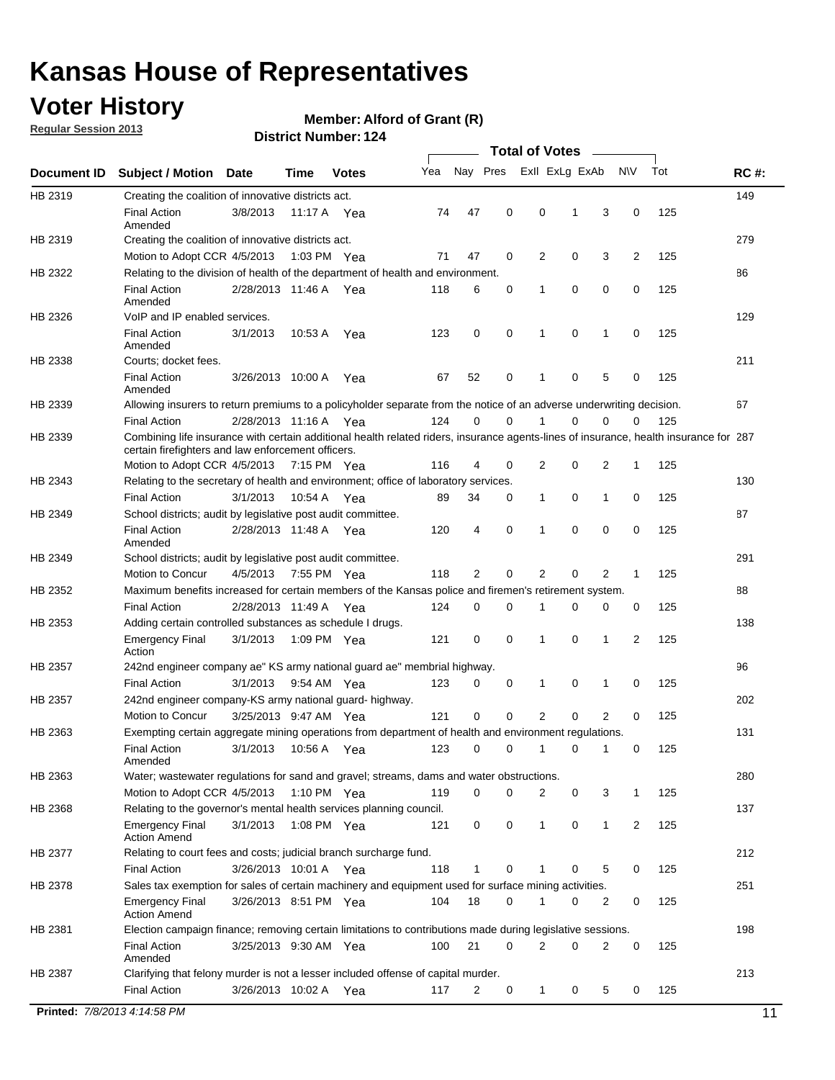## **Voter History**

**Member: Alford of Grant (R)** 

**Regular Session 2013**

|             |                                                                                                                                                                                             |                       |             |               |     |             |             | <b>Total of Votes</b> |   |              |                |     |             |
|-------------|---------------------------------------------------------------------------------------------------------------------------------------------------------------------------------------------|-----------------------|-------------|---------------|-----|-------------|-------------|-----------------------|---|--------------|----------------|-----|-------------|
| Document ID | <b>Subject / Motion</b>                                                                                                                                                                     | <b>Date</b>           | Time        | <b>Votes</b>  | Yea | Nay Pres    |             | Exll ExLg ExAb        |   |              | N\V            | Tot | <b>RC#:</b> |
| HB 2319     | Creating the coalition of innovative districts act.                                                                                                                                         |                       |             |               |     |             |             |                       |   |              |                |     | 149         |
|             | <b>Final Action</b><br>Amended                                                                                                                                                              | 3/8/2013              | 11:17 A     | Yea           | 74  | 47          | 0           | 0                     | 1 | 3            | 0              | 125 |             |
| HB 2319     | Creating the coalition of innovative districts act.                                                                                                                                         |                       |             |               |     |             |             |                       |   |              |                |     | 279         |
|             | Motion to Adopt CCR 4/5/2013                                                                                                                                                                |                       |             | 1:03 PM Yea   | 71  | 47          | 0           | 2                     | 0 | 3            | $\overline{2}$ | 125 |             |
| HB 2322     | Relating to the division of health of the department of health and environment.                                                                                                             |                       |             |               |     |             |             |                       |   |              |                |     | 86          |
|             | <b>Final Action</b><br>Amended                                                                                                                                                              | 2/28/2013 11:46 A Yea |             |               | 118 | 6           | 0           | 1                     | 0 | 0            | 0              | 125 |             |
| HB 2326     | VoIP and IP enabled services.                                                                                                                                                               |                       |             |               |     |             |             |                       |   |              |                |     | 129         |
|             | <b>Final Action</b><br>Amended                                                                                                                                                              | 3/1/2013              | 10.53 A     | Yea           | 123 | 0           | 0           | 1                     | 0 | 1            | 0              | 125 |             |
| HB 2338     | Courts; docket fees.                                                                                                                                                                        |                       |             |               |     |             |             |                       |   |              |                |     | 211         |
|             | <b>Final Action</b><br>Amended                                                                                                                                                              | 3/26/2013 10:00 A     |             | Yea           | 67  | 52          | 0           | 1                     | 0 | 5            | 0              | 125 |             |
| HB 2339     | Allowing insurers to return premiums to a policyholder separate from the notice of an adverse underwriting decision.                                                                        |                       |             |               |     |             |             |                       |   |              |                |     | 67          |
|             | <b>Final Action</b>                                                                                                                                                                         | 2/28/2013 11:16 A Yea |             |               | 124 | 0           | 0           | 1                     | 0 | 0            | 0              | 125 |             |
| HB 2339     | Combining life insurance with certain additional health related riders, insurance agents-lines of insurance, health insurance for 287<br>certain firefighters and law enforcement officers. |                       |             |               |     |             |             |                       |   |              |                |     |             |
|             | Motion to Adopt CCR 4/5/2013 7:15 PM Yea                                                                                                                                                    |                       |             |               | 116 | 4           | 0           | 2                     | 0 | 2            | 1              | 125 |             |
| HB 2343     | Relating to the secretary of health and environment; office of laboratory services.                                                                                                         |                       |             |               |     |             |             |                       |   |              |                |     | 130         |
|             | <b>Final Action</b>                                                                                                                                                                         | 3/1/2013              | 10:54 A Yea |               | 89  | 34          | 0           | 1                     | 0 | 1            | 0              | 125 |             |
| HB 2349     | School districts; audit by legislative post audit committee.                                                                                                                                |                       |             |               |     |             |             |                       |   |              |                |     | 87          |
|             | <b>Final Action</b><br>Amended                                                                                                                                                              | 2/28/2013 11:48 A Yea |             |               | 120 | 4           | $\mathbf 0$ | 1                     | 0 | 0            | 0              | 125 |             |
| HB 2349     | School districts; audit by legislative post audit committee.                                                                                                                                |                       |             |               |     |             |             |                       |   |              |                |     | 291         |
|             | Motion to Concur                                                                                                                                                                            | 4/5/2013              | 7:55 PM Yea |               | 118 | 2           | 0           | 2                     | 0 | 2            | 1              | 125 |             |
| HB 2352     | Maximum benefits increased for certain members of the Kansas police and firemen's retirement system.                                                                                        |                       |             |               |     |             |             |                       |   |              |                |     | 88          |
|             | <b>Final Action</b>                                                                                                                                                                         | 2/28/2013 11:49 A     |             | Yea           | 124 | 0           | 0           | 1                     | 0 | 0            | 0              | 125 |             |
| HB 2353     | Adding certain controlled substances as schedule I drugs.                                                                                                                                   |                       |             |               |     |             |             |                       |   |              |                |     | 138         |
|             | <b>Emergency Final</b><br>Action                                                                                                                                                            | 3/1/2013              |             | 1:09 PM Yea   | 121 | 0           | $\mathbf 0$ | 1                     | 0 | 1            | 2              | 125 |             |
| HB 2357     | 242nd engineer company ae" KS army national guard ae" membrial highway.                                                                                                                     |                       |             |               |     |             |             |                       |   |              |                |     | 96          |
|             | <b>Final Action</b>                                                                                                                                                                         | 3/1/2013              |             | 9:54 AM Yea   | 123 | 0           | 0           | 1                     | 0 | 1            | 0              | 125 |             |
| HB 2357     | 242nd engineer company-KS army national guard- highway.                                                                                                                                     |                       |             |               |     |             |             |                       |   |              |                |     | 202         |
|             | Motion to Concur                                                                                                                                                                            | 3/25/2013 9:47 AM Yea |             |               | 121 | $\mathbf 0$ | $\mathbf 0$ | $\overline{2}$        | 0 | 2            | 0              | 125 |             |
| HB 2363     | Exempting certain aggregate mining operations from department of health and environment regulations.                                                                                        |                       |             |               |     |             |             |                       |   |              |                |     | 131         |
|             | <b>Final Action</b><br>Amended                                                                                                                                                              | 3/1/2013              | 10:56 A     | Yea           | 123 | 0           | 0           | 1                     | 0 | 1            | 0              | 125 |             |
| HB 2363     | Water; wastewater regulations for sand and gravel; streams, dams and water obstructions.                                                                                                    |                       |             |               |     |             |             |                       |   |              |                |     | 280         |
|             | Motion to Adopt CCR 4/5/2013                                                                                                                                                                |                       |             | 1:10 PM $Yea$ | 119 | 0           | 0           | 2                     | 0 | 3            | 1              | 125 |             |
| HB 2368     | Relating to the governor's mental health services planning council.                                                                                                                         |                       |             |               |     |             |             |                       |   |              |                |     | 137         |
|             | <b>Emergency Final</b><br><b>Action Amend</b>                                                                                                                                               | 3/1/2013              |             | 1:08 PM Yea   | 121 | 0           | 0           | 1                     | 0 | $\mathbf{1}$ | 2              | 125 |             |
| HB 2377     | Relating to court fees and costs; judicial branch surcharge fund.                                                                                                                           |                       |             |               |     |             |             |                       |   |              |                |     | 212         |
|             | <b>Final Action</b>                                                                                                                                                                         | 3/26/2013 10:01 A Yea |             |               | 118 | 1           | 0           |                       | 0 | 5            | 0              | 125 |             |
| HB 2378     | Sales tax exemption for sales of certain machinery and equipment used for surface mining activities.                                                                                        |                       |             |               |     |             |             |                       |   |              |                |     | 251         |
|             | <b>Emergency Final</b><br><b>Action Amend</b>                                                                                                                                               | 3/26/2013 8:51 PM Yea |             |               | 104 | 18          | 0           | 1                     | 0 | 2            | 0              | 125 |             |
| HB 2381     | Election campaign finance; removing certain limitations to contributions made during legislative sessions.                                                                                  |                       |             |               |     |             |             |                       |   |              |                |     | 198         |
|             | <b>Final Action</b>                                                                                                                                                                         | 3/25/2013 9:30 AM Yea |             |               | 100 | 21          | $\mathbf 0$ | 2                     | 0 | 2            | 0              | 125 |             |
|             | Amended                                                                                                                                                                                     |                       |             |               |     |             |             |                       |   |              |                |     |             |
| HB 2387     | Clarifying that felony murder is not a lesser included offense of capital murder.                                                                                                           |                       |             |               |     |             |             |                       |   |              |                |     | 213         |
|             | <b>Final Action</b>                                                                                                                                                                         | 3/26/2013 10:02 A     |             | Yea           | 117 | 2           | 0           | $\mathbf{1}$          | 0 | 5            | 0              | 125 |             |
|             | Printed: 7/8/2013 4:14:58 PM                                                                                                                                                                |                       |             |               |     |             |             |                       |   |              |                |     | 11          |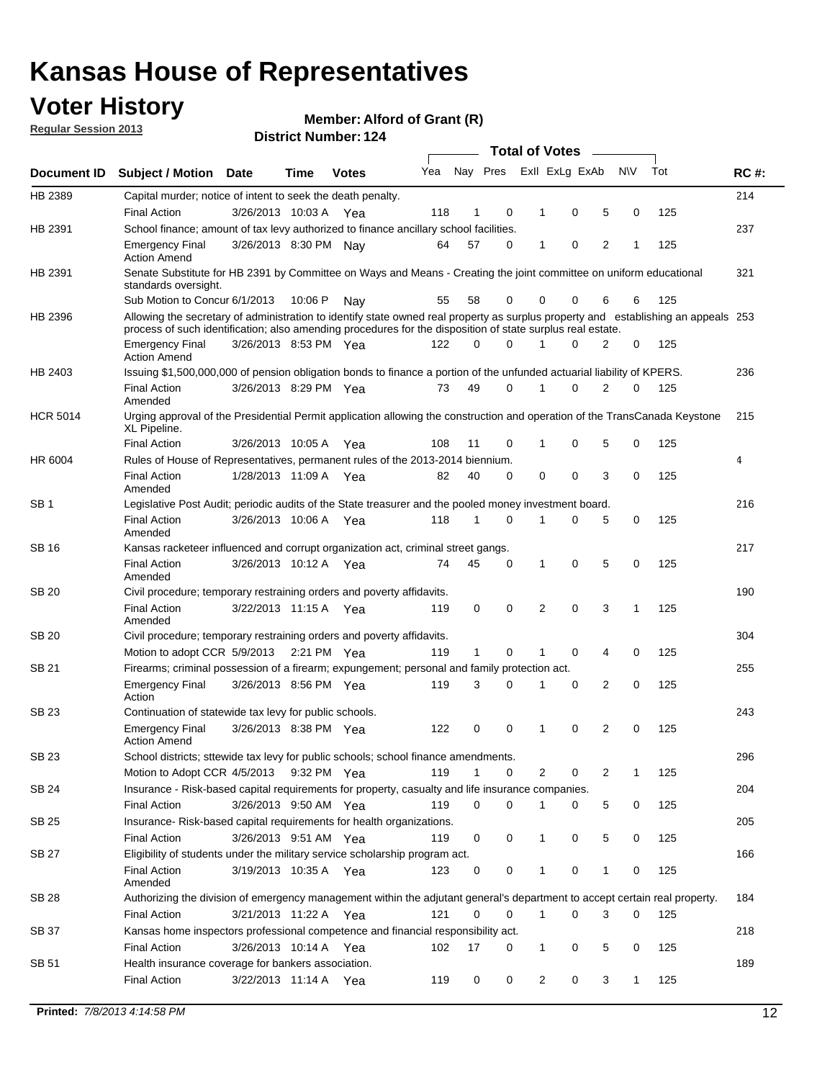## **Voter History**

**Member: Alford of Grant (R)** 

**Regular Session 2013**

|                 |                                                                                                                                                                                                                                                  |                       |             |              |     |              |          | <b>Total of Votes</b> |   |   |              |     |             |
|-----------------|--------------------------------------------------------------------------------------------------------------------------------------------------------------------------------------------------------------------------------------------------|-----------------------|-------------|--------------|-----|--------------|----------|-----------------------|---|---|--------------|-----|-------------|
| Document ID     | Subject / Motion Date                                                                                                                                                                                                                            |                       | Time        | <b>Votes</b> | Yea | Nay Pres     |          | Exll ExLg ExAb        |   |   | <b>NV</b>    | Tot | <b>RC#:</b> |
| HB 2389         | Capital murder; notice of intent to seek the death penalty.                                                                                                                                                                                      |                       |             |              |     |              |          |                       |   |   |              |     | 214         |
|                 | <b>Final Action</b>                                                                                                                                                                                                                              | 3/26/2013 10:03 A     |             | Yea          | 118 | 1            | 0        | 1                     | 0 | 5 | 0            | 125 |             |
| HB 2391         | School finance; amount of tax levy authorized to finance ancillary school facilities.                                                                                                                                                            |                       |             |              |     |              |          |                       |   |   |              |     | 237         |
|                 | <b>Emergency Final</b><br><b>Action Amend</b>                                                                                                                                                                                                    | 3/26/2013 8:30 PM Nav |             |              | 64  | 57           | 0        | 1                     | 0 | 2 | 1            | 125 |             |
| HB 2391         | Senate Substitute for HB 2391 by Committee on Ways and Means - Creating the joint committee on uniform educational<br>standards oversight.                                                                                                       |                       |             |              |     |              |          |                       |   |   |              |     | 321         |
|                 | Sub Motion to Concur 6/1/2013                                                                                                                                                                                                                    |                       | 10:06 P     | Nav          | 55  | 58           | 0        | 0                     | 0 | 6 | 6            | 125 |             |
| HB 2396         | Allowing the secretary of administration to identify state owned real property as surplus property and establishing an appeals 253<br>process of such identification; also amending procedures for the disposition of state surplus real estate. |                       |             |              |     |              |          |                       |   |   |              |     |             |
|                 | <b>Emergency Final</b><br>Action Amend                                                                                                                                                                                                           | 3/26/2013 8:53 PM Yea |             |              | 122 | 0            | 0        |                       | 0 | 2 | 0            | 125 |             |
| HB 2403         | Issuing \$1,500,000,000 of pension obligation bonds to finance a portion of the unfunded actuarial liability of KPERS.                                                                                                                           |                       |             |              |     |              |          |                       |   |   |              |     | 236         |
|                 | <b>Final Action</b><br>Amended                                                                                                                                                                                                                   | 3/26/2013 8:29 PM Yea |             |              | 73  | 49           | 0        | 1                     | 0 | 2 | 0            | 125 |             |
| <b>HCR 5014</b> | Urging approval of the Presidential Permit application allowing the construction and operation of the TransCanada Keystone<br>XL Pipeline.                                                                                                       |                       |             |              |     |              |          |                       |   |   |              |     | 215         |
|                 | <b>Final Action</b>                                                                                                                                                                                                                              | 3/26/2013 10:05 A     |             | Yea          | 108 | 11           | 0        |                       | 0 | 5 | 0            | 125 |             |
| HR 6004         | Rules of House of Representatives, permanent rules of the 2013-2014 biennium.                                                                                                                                                                    |                       |             |              |     |              |          |                       |   |   |              |     | 4           |
|                 | <b>Final Action</b><br>Amended                                                                                                                                                                                                                   | 1/28/2013 11:09 A     |             | Yea          | 82  | 40           | 0        | 0                     | 0 | 3 | 0            | 125 |             |
| SB 1            | Legislative Post Audit; periodic audits of the State treasurer and the pooled money investment board.                                                                                                                                            |                       |             |              |     |              |          |                       |   |   |              |     | 216         |
|                 | <b>Final Action</b><br>Amended                                                                                                                                                                                                                   | 3/26/2013 10:06 A     |             | Yea          | 118 | 1            | 0        | 1                     | 0 | 5 | 0            | 125 |             |
| SB 16           | Kansas racketeer influenced and corrupt organization act, criminal street gangs.                                                                                                                                                                 |                       |             |              |     |              |          |                       |   |   |              |     | 217         |
|                 | <b>Final Action</b><br>Amended                                                                                                                                                                                                                   | 3/26/2013 10:12 A Yea |             |              | 74  | 45           | 0        | 1                     | 0 | 5 | 0            | 125 |             |
| SB 20           | Civil procedure; temporary restraining orders and poverty affidavits.                                                                                                                                                                            |                       |             |              |     |              |          |                       |   |   |              |     | 190         |
|                 | <b>Final Action</b><br>Amended                                                                                                                                                                                                                   | 3/22/2013 11:15 A     |             | Yea          | 119 | 0            | 0        | 2                     | 0 | 3 | 1            | 125 |             |
| SB 20           | Civil procedure; temporary restraining orders and poverty affidavits.                                                                                                                                                                            |                       |             |              |     |              |          |                       |   |   |              |     | 304         |
|                 | Motion to adopt CCR 5/9/2013                                                                                                                                                                                                                     |                       | 2:21 PM Yea |              | 119 | $\mathbf{1}$ | 0        | 1                     | 0 | 4 | 0            | 125 |             |
| SB 21           | Firearms; criminal possession of a firearm; expungement; personal and family protection act.                                                                                                                                                     |                       |             |              |     |              |          |                       |   |   |              |     | 255         |
|                 | <b>Emergency Final</b><br>Action                                                                                                                                                                                                                 | 3/26/2013 8:56 PM Yea |             |              | 119 | 3            | 0        |                       | 0 | 2 | 0            | 125 |             |
| SB 23           | Continuation of statewide tax levy for public schools.                                                                                                                                                                                           |                       |             |              |     |              |          |                       |   |   |              |     | 243         |
|                 | <b>Emergency Final</b><br><b>Action Amend</b>                                                                                                                                                                                                    | 3/26/2013 8:38 PM Yea |             |              | 122 | 0            | 0        | 1                     | 0 | 2 | 0            | 125 |             |
| <b>SB 23</b>    | School districts; sttewide tax levy for public schools; school finance amendments.                                                                                                                                                               |                       |             |              |     |              |          |                       |   |   |              |     | 296         |
|                 | Motion to Adopt CCR 4/5/2013 9:32 PM Yea                                                                                                                                                                                                         |                       |             |              | 119 | 1            | 0        | 2                     | 0 | 2 | 1            | 125 |             |
| <b>SB 24</b>    | Insurance - Risk-based capital requirements for property, casualty and life insurance companies.                                                                                                                                                 |                       |             |              |     |              |          |                       |   |   |              |     | 204         |
|                 | <b>Final Action</b>                                                                                                                                                                                                                              | 3/26/2013 9:50 AM Yea |             |              | 119 | 0            | 0        |                       | 0 | 5 | 0            | 125 |             |
| SB 25           | Insurance-Risk-based capital requirements for health organizations.                                                                                                                                                                              |                       |             |              |     |              |          |                       |   |   |              |     | 205         |
|                 | <b>Final Action</b>                                                                                                                                                                                                                              | 3/26/2013 9:51 AM Yea |             |              | 119 | 0            | 0        | 1                     | 0 | 5 | 0            | 125 |             |
| SB 27           | Eligibility of students under the military service scholarship program act.<br><b>Final Action</b>                                                                                                                                               | 3/19/2013 10:35 A Yea |             |              | 123 | 0            | 0        |                       | 0 | 1 | 0            | 125 | 166         |
|                 | Amended                                                                                                                                                                                                                                          |                       |             |              |     |              |          |                       |   |   |              |     |             |
| SB 28           | Authorizing the division of emergency management within the adjutant general's department to accept certain real property.                                                                                                                       |                       |             |              |     |              |          |                       |   |   |              |     | 184         |
|                 | <b>Final Action</b>                                                                                                                                                                                                                              | 3/21/2013 11:22 A Yea |             |              | 121 | 0            | $\Omega$ | 1                     | 0 | 3 | $\Omega$     | 125 |             |
| SB 37           | Kansas home inspectors professional competence and financial responsibility act.                                                                                                                                                                 |                       |             |              |     |              |          |                       |   |   |              |     | 218         |
|                 | <b>Final Action</b>                                                                                                                                                                                                                              | 3/26/2013 10:14 A Yea |             |              | 102 | 17           | 0        | 1                     | 0 | 5 | 0            | 125 |             |
| SB 51           | Health insurance coverage for bankers association.                                                                                                                                                                                               |                       |             |              |     |              |          |                       | 0 | 3 | $\mathbf{1}$ | 125 | 189         |
|                 | <b>Final Action</b>                                                                                                                                                                                                                              | 3/22/2013 11:14 A Yea |             |              | 119 | 0            | 0        | 2                     |   |   |              |     |             |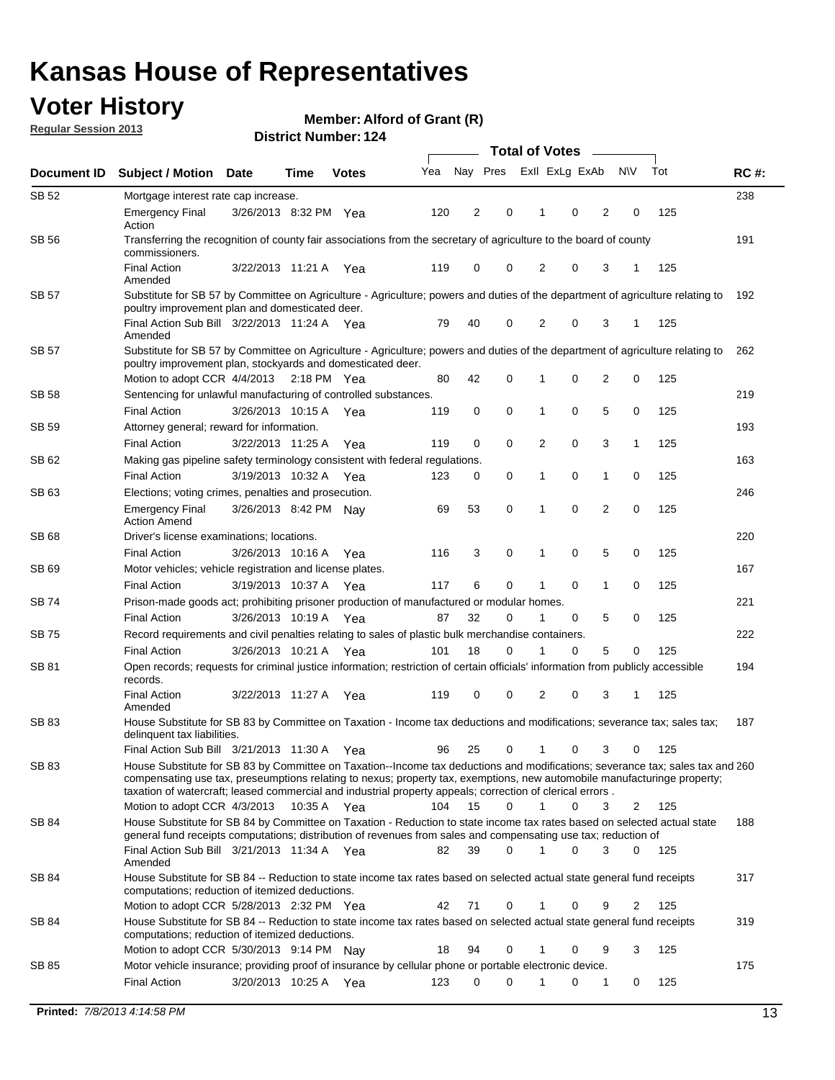## **Voter History**

**Member: Alford of Grant (R)** 

**Regular Session 2013**

|              |                                                                                                                                                                                                                                                                                                                                                                                                         |                                                                                                                   | <b>Total of Votes</b> |              |     |             |          |                |   |                |           |     |             |
|--------------|---------------------------------------------------------------------------------------------------------------------------------------------------------------------------------------------------------------------------------------------------------------------------------------------------------------------------------------------------------------------------------------------------------|-------------------------------------------------------------------------------------------------------------------|-----------------------|--------------|-----|-------------|----------|----------------|---|----------------|-----------|-----|-------------|
| Document ID  | <b>Subject / Motion</b>                                                                                                                                                                                                                                                                                                                                                                                 | <b>Date</b>                                                                                                       | Time                  | <b>Votes</b> | Yea | Nay Pres    |          | Exll ExLg ExAb |   |                | <b>NV</b> | Tot | <b>RC#:</b> |
| SB 52        | Mortgage interest rate cap increase.                                                                                                                                                                                                                                                                                                                                                                    |                                                                                                                   |                       |              |     |             |          |                |   |                |           |     | 238         |
|              | <b>Emergency Final</b><br>Action                                                                                                                                                                                                                                                                                                                                                                        | 3/26/2013 8:32 PM Yea                                                                                             |                       |              | 120 | 2           | 0        | 1              | 0 | 2              | 0         | 125 |             |
| SB 56        | commissioners.                                                                                                                                                                                                                                                                                                                                                                                          | Transferring the recognition of county fair associations from the secretary of agriculture to the board of county |                       |              |     |             |          |                |   |                |           |     |             |
|              | <b>Final Action</b><br>Amended                                                                                                                                                                                                                                                                                                                                                                          | 3/22/2013 11:21 A                                                                                                 |                       | Yea          | 119 | $\mathbf 0$ | 0        | $\overline{2}$ | 0 | 3              | 1         | 125 |             |
| <b>SB 57</b> | Substitute for SB 57 by Committee on Agriculture - Agriculture; powers and duties of the department of agriculture relating to<br>poultry improvement plan and domesticated deer.                                                                                                                                                                                                                       |                                                                                                                   |                       |              |     |             |          |                |   |                |           |     | 192         |
|              | Final Action Sub Bill 3/22/2013 11:24 A Yea<br>Amended                                                                                                                                                                                                                                                                                                                                                  |                                                                                                                   |                       |              | 79  | 40          | 0        | 2              | 0 | 3              | -1        | 125 |             |
| SB 57        | Substitute for SB 57 by Committee on Agriculture - Agriculture; powers and duties of the department of agriculture relating to<br>poultry improvement plan, stockyards and domesticated deer.                                                                                                                                                                                                           |                                                                                                                   |                       |              |     |             |          |                |   |                |           |     | 262         |
|              | Motion to adopt CCR 4/4/2013 2:18 PM Yea                                                                                                                                                                                                                                                                                                                                                                |                                                                                                                   |                       |              | 80  | 42          | 0        | 1              | 0 | 2              | 0         | 125 |             |
| SB 58        | Sentencing for unlawful manufacturing of controlled substances.                                                                                                                                                                                                                                                                                                                                         |                                                                                                                   |                       |              |     |             |          |                |   |                |           |     | 219         |
|              | <b>Final Action</b>                                                                                                                                                                                                                                                                                                                                                                                     | 3/26/2013 10:15 A                                                                                                 |                       | Yea          | 119 | 0           | 0        | 1              | 0 | 5              | 0         | 125 |             |
| SB 59        | Attorney general; reward for information.                                                                                                                                                                                                                                                                                                                                                               |                                                                                                                   |                       |              |     |             |          |                |   |                |           |     | 193         |
|              | <b>Final Action</b>                                                                                                                                                                                                                                                                                                                                                                                     | 3/22/2013 11:25 A                                                                                                 |                       | Yea          | 119 | $\mathbf 0$ | 0        | 2              | 0 | 3              | 1         | 125 |             |
| SB 62        | Making gas pipeline safety terminology consistent with federal regulations.                                                                                                                                                                                                                                                                                                                             |                                                                                                                   |                       |              |     |             |          |                |   |                |           |     | 163         |
|              | <b>Final Action</b>                                                                                                                                                                                                                                                                                                                                                                                     | 3/19/2013 10:32 A                                                                                                 |                       | Yea          | 123 | 0           | 0        | 1              | 0 | 1              | 0         | 125 |             |
| SB 63        | Elections; voting crimes, penalties and prosecution.                                                                                                                                                                                                                                                                                                                                                    |                                                                                                                   |                       |              |     |             |          |                |   |                |           |     | 246         |
|              | <b>Emergency Final</b><br><b>Action Amend</b>                                                                                                                                                                                                                                                                                                                                                           | 3/26/2013 8:42 PM Nav                                                                                             |                       |              | 69  | 53          | 0        | 1              | 0 | $\overline{2}$ | 0         | 125 |             |
| SB 68        | Driver's license examinations; locations.                                                                                                                                                                                                                                                                                                                                                               |                                                                                                                   |                       |              |     |             |          |                |   |                |           |     | 220         |
|              | <b>Final Action</b>                                                                                                                                                                                                                                                                                                                                                                                     | 3/26/2013 10:16 A                                                                                                 |                       | Yea          | 116 | 3           | 0        | 1              | 0 | 5              | 0         | 125 |             |
| SB 69        | Motor vehicles; vehicle registration and license plates.                                                                                                                                                                                                                                                                                                                                                |                                                                                                                   |                       |              |     | 6           | 0        |                |   |                | 0         |     | 167         |
| SB 74        | <b>Final Action</b>                                                                                                                                                                                                                                                                                                                                                                                     | 3/19/2013 10:37 A                                                                                                 |                       | Yea          | 117 |             |          | 1              | 0 | 1              |           | 125 | 221         |
|              | Prison-made goods act; prohibiting prisoner production of manufactured or modular homes.<br><b>Final Action</b>                                                                                                                                                                                                                                                                                         | 3/26/2013 10:19 A                                                                                                 |                       |              | 87  | 32          | 0        | 1              | 0 | 5              | 0         | 125 |             |
| SB 75        | Record requirements and civil penalties relating to sales of plastic bulk merchandise containers.                                                                                                                                                                                                                                                                                                       |                                                                                                                   |                       | Yea          |     |             |          |                |   |                |           |     | 222         |
|              | <b>Final Action</b>                                                                                                                                                                                                                                                                                                                                                                                     | 3/26/2013 10:21 A                                                                                                 |                       | Yea          | 101 | 18          | 0        | 1              | 0 | 5              | 0         | 125 |             |
| SB 81        | Open records; requests for criminal justice information; restriction of certain officials' information from publicly accessible                                                                                                                                                                                                                                                                         |                                                                                                                   |                       |              |     |             |          |                |   |                |           |     | 194         |
|              | records.<br><b>Final Action</b>                                                                                                                                                                                                                                                                                                                                                                         | 3/22/2013 11:27 A                                                                                                 |                       | Yea          | 119 | 0           | 0        | 2              | 0 | 3              | 1         | 125 |             |
|              | Amended                                                                                                                                                                                                                                                                                                                                                                                                 |                                                                                                                   |                       |              |     |             |          |                |   |                |           |     |             |
| SB 83        | House Substitute for SB 83 by Committee on Taxation - Income tax deductions and modifications; severance tax; sales tax;<br>delinquent tax liabilities.                                                                                                                                                                                                                                                 |                                                                                                                   |                       |              |     |             |          |                |   |                |           |     | 187         |
|              | Final Action Sub Bill 3/21/2013 11:30 A Yea                                                                                                                                                                                                                                                                                                                                                             |                                                                                                                   |                       |              | 96  | 25          | 0        | $\mathbf{1}$   | 0 | 3              | 0         | 125 |             |
| SB 83        | House Substitute for SB 83 by Committee on Taxation--Income tax deductions and modifications; severance tax; sales tax and 260<br>compensating use tax, preseumptions relating to nexus; property tax, exemptions, new automobile manufacturinge property;<br>taxation of watercraft; leased commercial and industrial property appeals; correction of clerical errors.<br>Motion to adopt CCR 4/3/2013 |                                                                                                                   | 10:35 A Yea           |              | 104 | 15          | $\Omega$ | $\mathbf{1}$   | 0 | 3              | 2         | 125 |             |
| SB 84        | House Substitute for SB 84 by Committee on Taxation - Reduction to state income tax rates based on selected actual state                                                                                                                                                                                                                                                                                |                                                                                                                   |                       |              |     |             |          |                |   |                |           |     | 188         |
|              | general fund receipts computations; distribution of revenues from sales and compensating use tax; reduction of<br>Final Action Sub Bill 3/21/2013 11:34 A Yea                                                                                                                                                                                                                                           |                                                                                                                   |                       |              | 82  | 39          | 0        |                | 0 | 3              | 0         | 125 |             |
|              | Amended                                                                                                                                                                                                                                                                                                                                                                                                 |                                                                                                                   |                       |              |     |             |          |                |   |                |           |     |             |
| SB 84        | House Substitute for SB 84 -- Reduction to state income tax rates based on selected actual state general fund receipts<br>computations; reduction of itemized deductions.                                                                                                                                                                                                                               |                                                                                                                   |                       |              |     |             |          |                |   |                |           |     | 317         |
|              | Motion to adopt CCR 5/28/2013 2:32 PM Yea                                                                                                                                                                                                                                                                                                                                                               |                                                                                                                   |                       |              | 42  | 71          | 0        | 1              | 0 | 9              | 2         | 125 |             |
| SB 84        | House Substitute for SB 84 -- Reduction to state income tax rates based on selected actual state general fund receipts<br>computations; reduction of itemized deductions.                                                                                                                                                                                                                               |                                                                                                                   |                       |              |     |             |          |                |   |                |           |     | 319         |
|              | Motion to adopt CCR 5/30/2013 9:14 PM Nay                                                                                                                                                                                                                                                                                                                                                               |                                                                                                                   |                       |              | 18  | 94          | 0        | 1              | 0 | 9              | 3         | 125 |             |
| SB 85        | Motor vehicle insurance; providing proof of insurance by cellular phone or portable electronic device.<br><b>Final Action</b>                                                                                                                                                                                                                                                                           | 3/20/2013 10:25 A Yea                                                                                             |                       |              | 123 | $\Omega$    | 0        | 1              | 0 | 1              | 0         | 125 | 175         |
|              |                                                                                                                                                                                                                                                                                                                                                                                                         |                                                                                                                   |                       |              |     |             |          |                |   |                |           |     |             |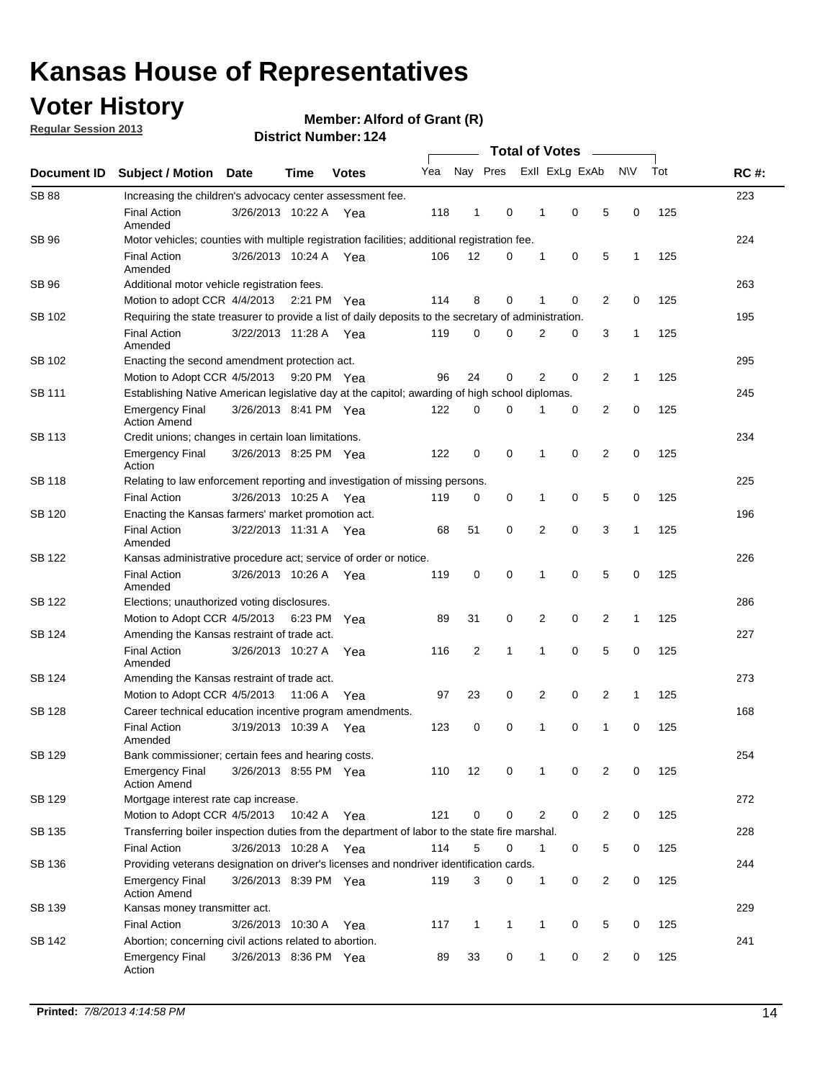## **Voter History**

**Regular Session 2013**

### **Member: Alford of Grant (R)**

|                    |                                                                                                       |                       |             | רצו הסטוווטנו ועוווסוש |     |              |              | <b>Total of Votes</b> |                |                |                |              |     |             |
|--------------------|-------------------------------------------------------------------------------------------------------|-----------------------|-------------|------------------------|-----|--------------|--------------|-----------------------|----------------|----------------|----------------|--------------|-----|-------------|
| <b>Document ID</b> | <b>Subject / Motion</b>                                                                               | <b>Date</b>           | <b>Time</b> | <b>Votes</b>           | Yea |              | Nay Pres     |                       |                | Exll ExLg ExAb |                | <b>NV</b>    | Tot | <b>RC#:</b> |
| <b>SB 88</b>       | Increasing the children's advocacy center assessment fee.                                             |                       |             |                        |     |              |              |                       |                |                |                |              |     | 223         |
|                    | <b>Final Action</b><br>Amended                                                                        | 3/26/2013 10:22 A Yea |             |                        | 118 | $\mathbf{1}$ | 0            |                       | $\mathbf 1$    | 0              | 5              | 0            | 125 |             |
| SB 96              | Motor vehicles; counties with multiple registration facilities; additional registration fee.          |                       |             |                        |     |              |              |                       |                |                |                |              |     | 224         |
|                    | <b>Final Action</b><br>Amended                                                                        | 3/26/2013 10:24 A     |             | Yea                    | 106 | 12           | 0            |                       | 1              | 0              | 5              | 1            | 125 |             |
| SB 96              | Additional motor vehicle registration fees.                                                           |                       |             |                        |     |              |              |                       |                |                |                |              |     | 263         |
|                    | Motion to adopt CCR 4/4/2013                                                                          |                       | 2:21 PM Yea |                        | 114 | 8            | 0            |                       | 1              | 0              | $\overline{2}$ | 0            | 125 |             |
| SB 102             | Requiring the state treasurer to provide a list of daily deposits to the secretary of administration. |                       |             |                        |     |              |              |                       |                |                |                |              |     | 195         |
|                    | <b>Final Action</b><br>Amended                                                                        | 3/22/2013 11:28 A     |             | Yea                    | 119 | 0            | 0            |                       | 2              | 0              | 3              | 1            | 125 |             |
| SB 102             | Enacting the second amendment protection act.                                                         |                       |             |                        |     |              |              |                       |                |                |                |              |     | 295         |
|                    | Motion to Adopt CCR 4/5/2013                                                                          |                       | 9:20 PM Yea |                        | 96  | 24           | 0            |                       | $\overline{2}$ | 0              | $\overline{2}$ | 1            | 125 |             |
| SB 111             | Establishing Native American legislative day at the capitol; awarding of high school diplomas.        |                       |             |                        |     |              |              |                       |                |                |                |              |     | 245         |
|                    | <b>Emergency Final</b><br><b>Action Amend</b>                                                         | 3/26/2013 8:41 PM Yea |             |                        | 122 | 0            | $\Omega$     |                       |                | 0              | $\overline{2}$ | 0            | 125 |             |
| SB 113             | Credit unions; changes in certain loan limitations.                                                   |                       |             |                        |     |              |              |                       |                |                |                |              |     | 234         |
|                    | <b>Emergency Final</b><br>Action                                                                      | 3/26/2013 8:25 PM Yea |             |                        | 122 | 0            | 0            |                       | 1              | $\mathbf 0$    | $\overline{2}$ | 0            | 125 |             |
| <b>SB 118</b>      | Relating to law enforcement reporting and investigation of missing persons.                           |                       |             |                        |     |              |              |                       |                |                |                |              |     | 225         |
|                    | <b>Final Action</b>                                                                                   | 3/26/2013 10:25 A     |             | Yea                    | 119 | 0            | 0            |                       | 1              | 0              | 5              | 0            | 125 |             |
| SB 120             | Enacting the Kansas farmers' market promotion act.                                                    |                       |             |                        |     |              |              |                       |                |                |                |              |     | 196         |
|                    | <b>Final Action</b><br>Amended                                                                        | 3/22/2013 11:31 A Yea |             |                        | 68  | 51           | 0            |                       | 2              | $\mathbf 0$    | 3              | 1            | 125 |             |
| SB 122             | Kansas administrative procedure act; service of order or notice.                                      |                       |             |                        |     |              |              |                       |                | 226            |                |              |     |             |
|                    | <b>Final Action</b><br>Amended                                                                        | 3/26/2013 10:26 A Yea |             |                        | 119 | 0            | 0            |                       | 1              | 0              | 5              | 0            | 125 |             |
| SB 122             | Elections; unauthorized voting disclosures.                                                           |                       |             |                        |     |              |              |                       |                |                | 286            |              |     |             |
|                    | Motion to Adopt CCR 4/5/2013                                                                          |                       | 6:23 PM     | Yea                    | 89  | 31           | 0            |                       | 2              | 0              | $\overline{2}$ | $\mathbf{1}$ | 125 |             |
| SB 124             | Amending the Kansas restraint of trade act.                                                           |                       |             |                        |     |              |              |                       |                |                |                |              |     | 227         |
|                    | <b>Final Action</b><br>Amended                                                                        | 3/26/2013 10:27 A     |             | Yea                    | 116 | 2            | 1            |                       | 1              | $\mathbf 0$    | 5              | $\mathbf 0$  | 125 |             |
| SB 124             | Amending the Kansas restraint of trade act.                                                           |                       |             |                        |     |              |              |                       |                |                |                |              |     | 273         |
|                    | Motion to Adopt CCR 4/5/2013                                                                          |                       | 11:06 A     | Yea                    | 97  | 23           | 0            |                       | 2              | 0              | $\overline{2}$ | 1            | 125 |             |
| SB 128             | Career technical education incentive program amendments.                                              |                       |             |                        |     |              |              |                       |                |                |                |              |     | 168         |
|                    | <b>Final Action</b><br>Amended                                                                        | 3/19/2013 10:39 A     |             | Yea                    | 123 | 0            | 0            |                       | 1              | 0              | 1              | 0            | 125 |             |
| SB 129             | Bank commissioner; certain fees and hearing costs.                                                    |                       |             |                        |     |              |              |                       |                |                |                |              |     | 254         |
|                    | <b>Emergency Final</b><br><b>Action Amend</b>                                                         | 3/26/2013 8:55 PM Yea |             |                        | 110 | 12           | 0            |                       | 1              | 0              | 2              | 0            | 125 |             |
| SB 129             | Mortgage interest rate cap increase.                                                                  |                       |             |                        |     |              |              |                       |                |                |                |              |     | 272         |
|                    | Motion to Adopt CCR 4/5/2013                                                                          |                       | 10:42 A Yea |                        | 121 | 0            | 0            |                       | 2              | 0              | $\overline{2}$ | 0            | 125 |             |
| SB 135             | Transferring boiler inspection duties from the department of labor to the state fire marshal.         |                       |             |                        |     |              |              |                       |                |                |                |              |     | 228         |
|                    | <b>Final Action</b>                                                                                   | 3/26/2013 10:28 A Yea |             |                        | 114 | 5            | 0            |                       | $\mathbf{1}$   | 0              | 5              | 0            | 125 |             |
| SB 136             | Providing veterans designation on driver's licenses and nondriver identification cards.               |                       |             |                        |     |              |              |                       |                |                |                |              |     | 244         |
|                    | <b>Emergency Final</b><br><b>Action Amend</b>                                                         | 3/26/2013 8:39 PM Yea |             |                        | 119 | 3            | 0            |                       | $\mathbf{1}$   | 0              | $\overline{2}$ | 0            | 125 |             |
| SB 139             | Kansas money transmitter act.                                                                         |                       |             |                        |     |              |              |                       |                |                |                |              |     | 229         |
|                    | <b>Final Action</b>                                                                                   | 3/26/2013 10:30 A Yea |             |                        | 117 | $\mathbf{1}$ | $\mathbf{1}$ |                       | $\mathbf{1}$   | $\mathbf 0$    | 5              | 0            | 125 |             |
| SB 142             | Abortion; concerning civil actions related to abortion.                                               |                       |             |                        |     |              |              |                       |                |                |                |              |     | 241         |
|                    | <b>Emergency Final</b><br>Action                                                                      | 3/26/2013 8:36 PM Yea |             |                        | 89  | 33           | 0            |                       | 1              | 0              | $\overline{2}$ | $\mathbf 0$  | 125 |             |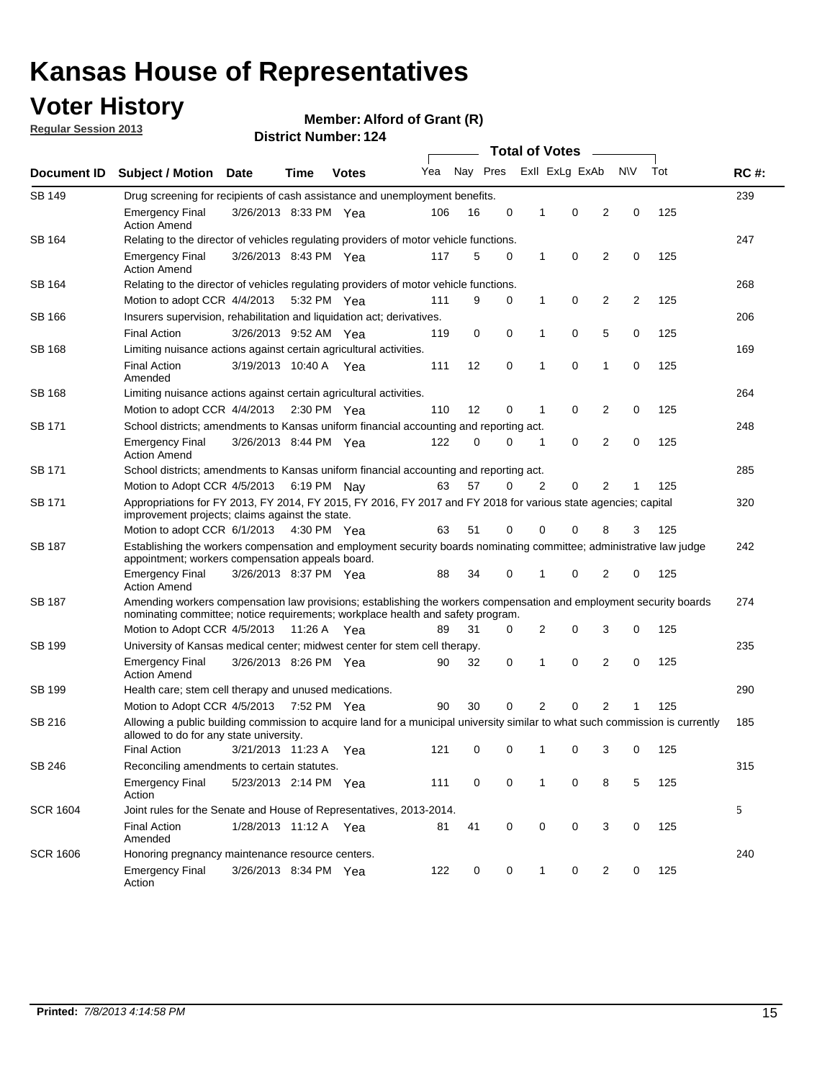## **Voter History**

**Member: Alford of Grant (R)** 

**Regular Session 2013**

|                 |                                                                                                                                                                                                       |                                                                                        |             |              |     |          | <b>Total of Votes</b> |   |                | $\sim$         |           |     |             |
|-----------------|-------------------------------------------------------------------------------------------------------------------------------------------------------------------------------------------------------|----------------------------------------------------------------------------------------|-------------|--------------|-----|----------|-----------------------|---|----------------|----------------|-----------|-----|-------------|
| Document ID     | <b>Subject / Motion Date</b>                                                                                                                                                                          |                                                                                        | Time        | <b>Votes</b> | Yea | Nay Pres |                       |   | Exll ExLg ExAb |                | <b>NV</b> | Tot | <b>RC#:</b> |
| SB 149          | Drug screening for recipients of cash assistance and unemployment benefits.                                                                                                                           |                                                                                        |             |              |     |          |                       |   |                |                |           |     | 239         |
|                 | <b>Emergency Final</b><br><b>Action Amend</b>                                                                                                                                                         | 3/26/2013 8:33 PM Yea                                                                  |             |              | 106 | 16       | 0                     | 1 | 0              | 2              | 0         | 125 |             |
| SB 164          | Relating to the director of vehicles regulating providers of motor vehicle functions.                                                                                                                 |                                                                                        |             |              |     |          |                       |   |                |                |           |     | 247         |
|                 | <b>Emergency Final</b><br><b>Action Amend</b>                                                                                                                                                         | 3/26/2013 8:43 PM Yea                                                                  |             |              | 117 | 5        | 0                     | 1 | 0              | 2              | 0         | 125 |             |
| SB 164          | Relating to the director of vehicles regulating providers of motor vehicle functions.                                                                                                                 |                                                                                        |             |              |     |          |                       |   |                |                |           |     | 268         |
|                 | Motion to adopt CCR 4/4/2013                                                                                                                                                                          |                                                                                        | 5:32 PM Yea |              | 111 | 9        | 0                     | 1 | 0              | 2              | 2         | 125 |             |
| SB 166          |                                                                                                                                                                                                       | Insurers supervision, rehabilitation and liquidation act; derivatives.                 |             |              |     |          |                       |   |                |                |           | 206 |             |
|                 | <b>Final Action</b>                                                                                                                                                                                   | 3/26/2013 9:52 AM Yea                                                                  |             |              | 119 | 0        | 0                     | 1 | 0              | 5              | 0         | 125 |             |
| SB 168          | Limiting nuisance actions against certain agricultural activities.                                                                                                                                    |                                                                                        |             |              |     |          |                       |   |                |                |           |     | 169         |
|                 | <b>Final Action</b><br>Amended                                                                                                                                                                        | 3/19/2013 10:40 A Yea                                                                  |             |              | 111 | 12       | 0                     | 1 | 0              | 1              | 0         | 125 |             |
| SB 168          | Limiting nuisance actions against certain agricultural activities.                                                                                                                                    |                                                                                        |             |              |     |          |                       |   |                |                |           |     | 264         |
|                 | Motion to adopt CCR 4/4/2013                                                                                                                                                                          |                                                                                        | 2:30 PM Yea |              | 110 | 12       | 0                     | 1 | 0              | 2              | 0         | 125 |             |
| <b>SB 171</b>   |                                                                                                                                                                                                       | School districts; amendments to Kansas uniform financial accounting and reporting act. |             |              |     |          |                       |   |                |                | 248       |     |             |
|                 | <b>Emergency Final</b><br><b>Action Amend</b>                                                                                                                                                         | 3/26/2013 8:44 PM Yea                                                                  |             |              | 122 | 0        | 0                     | 1 | 0              | 2              | 0         | 125 |             |
| SB 171          | School districts; amendments to Kansas uniform financial accounting and reporting act.                                                                                                                |                                                                                        |             |              |     |          |                       |   |                |                |           | 285 |             |
|                 | Motion to Adopt CCR 4/5/2013 6:19 PM Nay<br>57<br>2<br>0<br>2<br>125<br>63<br>0<br>1                                                                                                                  |                                                                                        |             |              |     |          |                       |   |                |                |           |     |             |
| SB 171          | Appropriations for FY 2013, FY 2014, FY 2015, FY 2016, FY 2017 and FY 2018 for various state agencies; capital<br>improvement projects; claims against the state.                                     |                                                                                        |             |              |     |          |                       |   |                |                |           |     | 320         |
|                 | Motion to adopt CCR 6/1/2013 4:30 PM Yea                                                                                                                                                              |                                                                                        |             |              | 63  | 51       | 0                     | 0 | 0              | 8              | 3         | 125 |             |
| SB 187          | Establishing the workers compensation and employment security boards nominating committee; administrative law judge<br>appointment; workers compensation appeals board.                               |                                                                                        |             |              |     |          |                       |   |                |                |           | 242 |             |
|                 | <b>Emergency Final</b><br><b>Action Amend</b>                                                                                                                                                         | 3/26/2013 8:37 PM Yea                                                                  |             |              | 88  | 34       | 0                     | 1 | 0              | 2              | 0         | 125 |             |
| SB 187          | Amending workers compensation law provisions; establishing the workers compensation and employment security boards<br>nominating committee; notice requirements; workplace health and safety program. |                                                                                        |             |              |     |          |                       |   |                |                |           | 274 |             |
|                 | Motion to Adopt CCR 4/5/2013 11:26 A Yea                                                                                                                                                              |                                                                                        |             |              | 89  | 31       | 0                     | 2 | 0              | 3              | 0         | 125 |             |
| SB 199          | University of Kansas medical center; midwest center for stem cell therapy.                                                                                                                            |                                                                                        |             |              |     |          |                       |   |                |                |           |     | 235         |
|                 | <b>Emergency Final</b><br><b>Action Amend</b>                                                                                                                                                         | 3/26/2013 8:26 PM Yea                                                                  |             |              | 90  | 32       | 0                     | 1 | 0              | 2              | 0         | 125 |             |
| SB 199          | Health care; stem cell therapy and unused medications.                                                                                                                                                |                                                                                        |             |              |     |          |                       |   |                |                |           |     | 290         |
|                 | Motion to Adopt CCR 4/5/2013                                                                                                                                                                          |                                                                                        | 7:52 PM Yea |              | 90  | 30       | 0                     | 2 | 0              | $\overline{2}$ | 1         | 125 |             |
| SB 216          | Allowing a public building commission to acquire land for a municipal university similar to what such commission is currently<br>allowed to do for any state university.                              |                                                                                        |             |              |     |          |                       |   |                |                |           |     | 185         |
|                 | <b>Final Action</b>                                                                                                                                                                                   | 3/21/2013 11:23 A Yea                                                                  |             |              | 121 | 0        | 0                     | 1 | 0              | 3              | 0         | 125 |             |
| SB 246          | Reconciling amendments to certain statutes.                                                                                                                                                           |                                                                                        |             |              |     |          |                       |   |                |                |           |     | 315         |
|                 | Emergency Final<br>Action                                                                                                                                                                             | 5/23/2013 2:14 PM Yea                                                                  |             |              | 111 | 0        | 0                     | 1 | 0              | 8              | 5         | 125 |             |
| <b>SCR 1604</b> | Joint rules for the Senate and House of Representatives, 2013-2014.                                                                                                                                   |                                                                                        |             |              |     |          |                       |   |                |                |           |     | 5           |
|                 | <b>Final Action</b><br>Amended                                                                                                                                                                        | 1/28/2013 11:12 A Yea                                                                  |             |              | 81  | 41       | 0                     | 0 | 0              | 3              | 0         | 125 |             |
| <b>SCR 1606</b> | Honoring pregnancy maintenance resource centers.                                                                                                                                                      |                                                                                        |             |              |     |          |                       |   |                |                |           |     | 240         |
|                 | <b>Emergency Final</b><br>Action                                                                                                                                                                      | 3/26/2013 8:34 PM Yea                                                                  |             |              | 122 | 0        | 0                     | 1 | 0              | 2              | 0         | 125 |             |